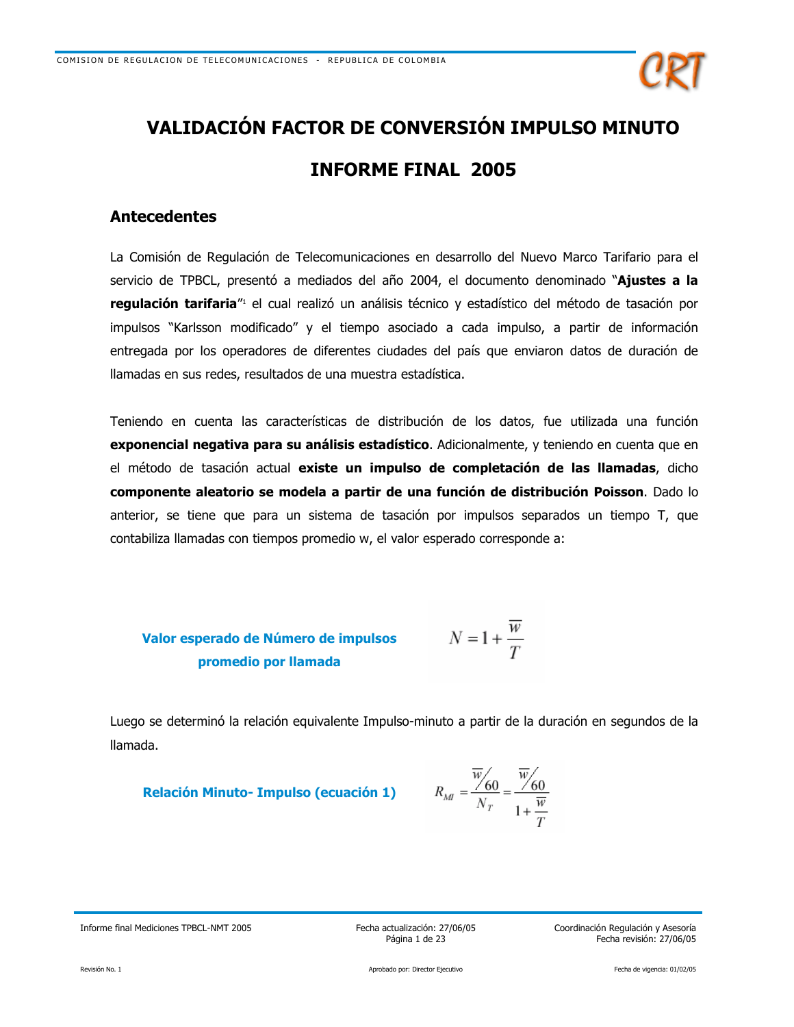

# **VALIDACIÓN FACTOR DE CONVERSIÓN IMPULSO MINUTO INFORME FINAL 2005**

## **Antecedentes**

La Comisión de Regulación de Telecomunicaciones en desarrollo del Nuevo Marco Tarifario para el servicio de TPBCL, presentó a mediados del año 2004, el documento denominado "Ajustes a la regulación tarifaria"<sup>1</sup> el cual realizó un análisis técnico y estadístico del método de tasación por impulsos "Karlsson modificado" y el tiempo asociado a cada impulso, a partir de información entregada por los operadores de diferentes ciudades del país que enviaron datos de duración de llamadas en sus redes, resultados de una muestra estadística.

Teniendo en cuenta las características de distribución de los datos, fue utilizada una función exponencial negativa para su análisis estadístico. Adicionalmente, y teniendo en cuenta que en el método de tasación actual existe un impulso de completación de las llamadas, dicho componente aleatorio se modela a partir de una función de distribución Poisson. Dado lo anterior, se tiene que para un sistema de tasación por impulsos separados un tiempo T, que contabiliza llamadas con tiempos promedio w, el valor esperado corresponde a:

**Valor esperado de Número de impulsos**\n
$$
N = 1 + \frac{w}{T}
$$
\n**promedio por llamada**

Luego se determinó la relación equivalente Impulso-minuto a partir de la duración en segundos de la llamada.

**Relación Minuto-Impulso (ecuación 1)** 

$$
R_M = \frac{\overline{w}}{N_T} = \frac{\overline{w}}{1 + \frac{\overline{w}}{T}}
$$

Informe final Mediciones TPBCL-NMT 2005

Fecha actualización: 27/06/05 Página 1 de 23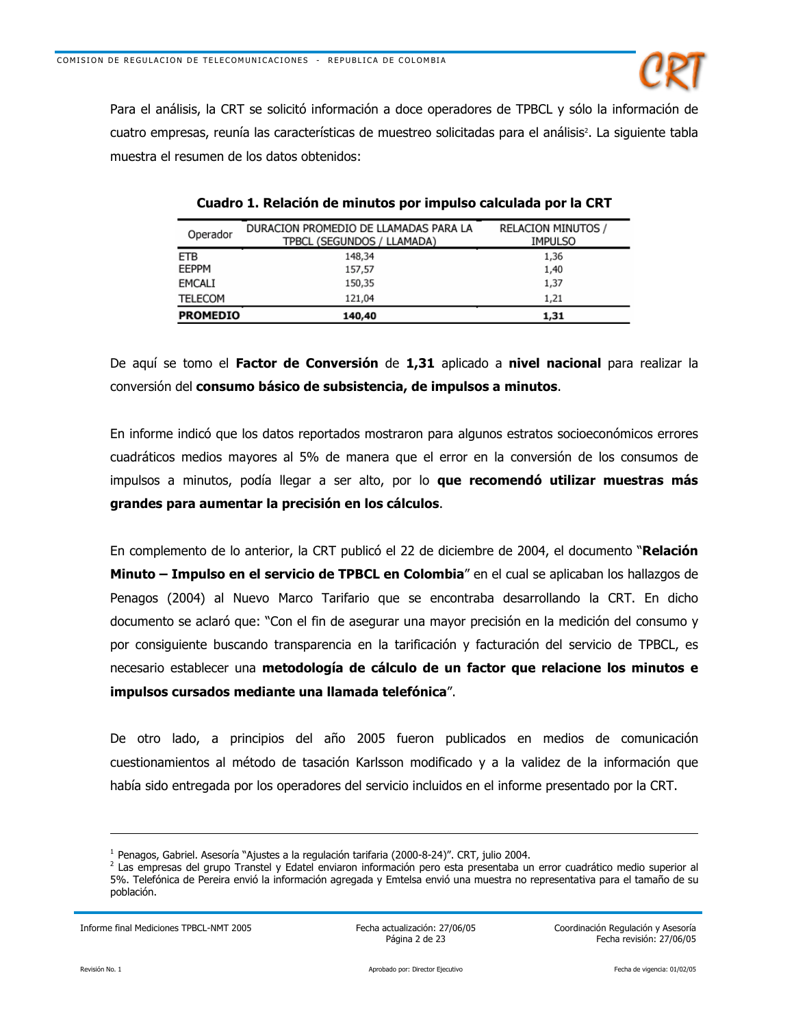

Para el análisis, la CRT se solicitó información a doce operadores de TPBCL y sólo la información de cuatro empresas, reunía las características de muestreo solicitadas para el análisis<sup>2</sup>. La siguiente tabla muestra el resumen de los datos obtenidos:

| Operador        | DURACION PROMEDIO DE LLAMADAS PARA LA<br>TPBCL (SEGUNDOS / LLAMADA) | <b>RELACION MINUTOS /</b><br><b>IMPULSO</b> |
|-----------------|---------------------------------------------------------------------|---------------------------------------------|
| ETB             | 148.34                                                              | 1,36                                        |
| EEPPM           | 157,57                                                              | 1,40                                        |
| EMCALI          | 150,35                                                              | 1,37                                        |
| <b>TELECOM</b>  | 121.04                                                              | 1,21                                        |
| <b>PROMEDIO</b> | 140,40                                                              | 1,31                                        |

Cuadro 1. Relación de minutos por impulso calculada por la CRT

De aquí se tomo el Factor de Conversión de 1,31 aplicado a nivel nacional para realizar la conversión del consumo básico de subsistencia, de impulsos a minutos.

En informe indicó que los datos reportados mostraron para algunos estratos socioeconómicos errores cuadráticos medios mayores al 5% de manera que el error en la conversión de los consumos de impulsos a minutos, podía llegar a ser alto, por lo que recomendó utilizar muestras más grandes para aumentar la precisión en los cálculos.

En complemento de lo anterior, la CRT publicó el 22 de diciembre de 2004, el documento "Relación Minuto – Impulso en el servicio de TPBCL en Colombia" en el cual se aplicaban los hallazgos de Penagos (2004) al Nuevo Marco Tarifario que se encontraba desarrollando la CRT. En dicho documento se aclaró que: "Con el fin de asegurar una mayor precisión en la medición del consumo y por consiguiente buscando transparencia en la tarificación y facturación del servicio de TPBCL, es necesario establecer una metodología de cálculo de un factor que relacione los minutos e impulsos cursados mediante una llamada telefónica".

De otro lado, a principios del año 2005 fueron publicados en medios de comunicación cuestionamientos al método de tasación Karlsson modificado y a la validez de la información que había sido entregada por los operadores del servicio incluidos en el informe presentado por la CRT.

Informe final Mediciones TPBCL-NMT 2005

Fecha actualización: 27/06/05 Página 2 de 23

<sup>&</sup>lt;sup>1</sup> Penagos, Gabriel. Asesoría "Ajustes a la regulación tarifaria (2000-8-24)". CRT, julio 2004.

<sup>&</sup>lt;sup>2</sup> Las empresas del grupo Transtel y Edatel enviaron información pero esta presentaba un error cuadrático medio superior al 5%. Telefónica de Pereira envió la información agregada y Emtelsa envió una muestra no representativa para el tamaño de su población.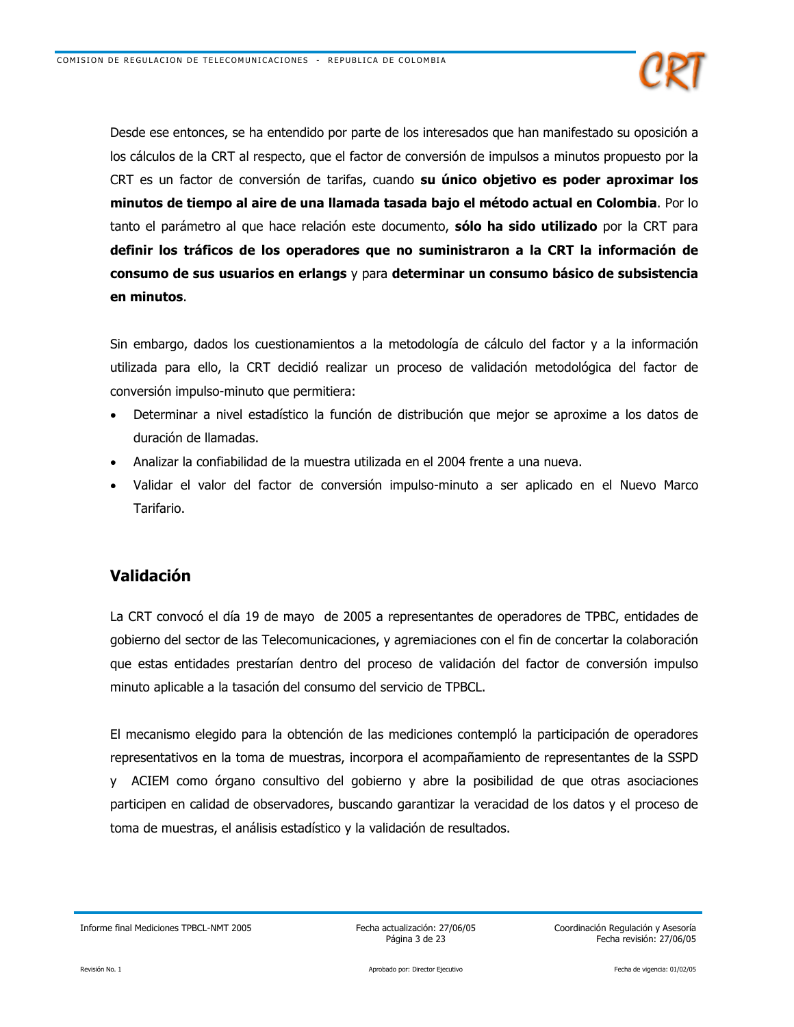

Desde ese entonces, se ha entendido por parte de los interesados que han manifestado su oposición a los cálculos de la CRT al respecto, que el factor de conversión de impulsos a minutos propuesto por la CRT es un factor de conversión de tarifas, cuando su único objetivo es poder aproximar los minutos de tiempo al aire de una llamada tasada bajo el método actual en Colombia. Por lo tanto el parámetro al que hace relación este documento, sólo ha sido utilizado por la CRT para definir los tráficos de los operadores que no suministraron a la CRT la información de consumo de sus usuarios en erlangs y para determinar un consumo básico de subsistencia en minutos.

Sin embargo, dados los cuestionamientos a la metodología de cálculo del factor y a la información utilizada para ello, la CRT decidió realizar un proceso de validación metodológica del factor de conversión impulso-minuto que permitiera:

- Determinar a nivel estadístico la función de distribución que mejor se aproxime a los datos de duración de llamadas.
- Analizar la confiabilidad de la muestra utilizada en el 2004 frente a una nueva.
- Validar el valor del factor de conversión impulso-minuto a ser aplicado en el Nuevo Marco Tarifario.

## Validación

La CRT convocó el día 19 de mayo de 2005 a representantes de operadores de TPBC, entidades de gobierno del sector de las Telecomunicaciones, y agremiaciones con el fin de concertar la colaboración que estas entidades prestarían dentro del proceso de validación del factor de conversión impulso minuto aplicable a la tasación del consumo del servicio de TPBCL.

El mecanismo elegido para la obtención de las mediciones contempló la participación de operadores representativos en la toma de muestras, incorpora el acompañamiento de representantes de la SSPD y ACIEM como órgano consultivo del gobierno y abre la posibilidad de que otras asociaciones participen en calidad de observadores, buscando garantizar la veracidad de los datos y el proceso de toma de muestras, el análisis estadístico y la validación de resultados.

Fecha actualización: 27/06/05 Página 3 de 23

Informe final Mediciones TPBCL-NMT 2005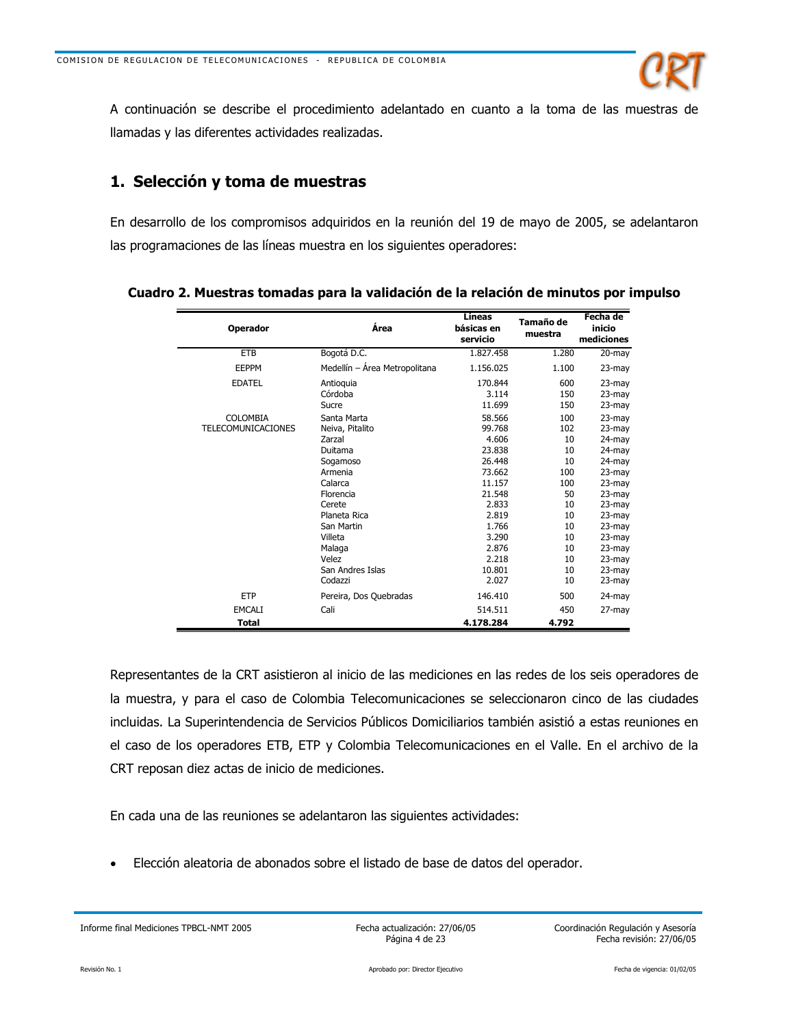

A continuación se describe el procedimiento adelantado en cuanto a la toma de las muestras de llamadas y las diferentes actividades realizadas.

## 1. Selección y toma de muestras

En desarrollo de los compromisos adquiridos en la reunión del 19 de mayo de 2005, se adelantaron las programaciones de las líneas muestra en los siguientes operadores:

| <b>Operador</b>           | Área                          | <b>Líneas</b><br>básicas en<br>servicio | Tamaño de<br>muestra | Fecha de<br>inicio<br>mediciones |
|---------------------------|-------------------------------|-----------------------------------------|----------------------|----------------------------------|
| <b>ETB</b>                | Bogotá D.C.                   | 1.827.458                               | 1.280                | $20 - mag$                       |
| <b>EEPPM</b>              | Medellín - Área Metropolitana | 1.156.025                               | 1.100                | 23-may                           |
| <b>EDATEL</b>             | Antioquia<br>Córdoba          | 170.844<br>3.114                        | 600<br>150           | 23-may<br>23-may                 |
|                           | Sucre                         | 11.699                                  | 150                  | 23-may                           |
| COLOMBIA                  | Santa Marta                   | 58.566                                  | 100                  | 23-may                           |
| <b>TELECOMUNICACIONES</b> | Neiva, Pitalito               | 99.768                                  | 102                  | 23-may                           |
|                           | Zarzal                        | 4.606                                   | 10                   | 24-may                           |
|                           | Duitama                       | 23.838                                  | 10                   | $24$ -may                        |
|                           | Sogamoso                      | 26.448                                  | 10                   | 24-may                           |
|                           | Armenia                       | 73.662                                  | 100                  | 23-may                           |
|                           | Calarca                       | 11.157                                  | 100                  | 23-may                           |
|                           | Florencia                     | 21.548                                  | 50                   | 23-may                           |
|                           | Cerete                        | 2.833                                   | 10                   | $23$ -may                        |
|                           | Planeta Rica                  | 2.819                                   | 10                   | 23-may                           |
|                           | San Martin                    | 1.766                                   | 10                   | 23-may                           |
|                           | Villeta                       | 3.290                                   | 10                   | 23-may                           |
|                           | Malaga                        | 2.876                                   | 10                   | $23$ -may                        |
|                           | Velez                         | 2.218                                   | 10                   | 23-may                           |
|                           | San Andres Islas              | 10.801                                  | 10                   | $23$ -may                        |
|                           | Codazzi                       | 2.027                                   | 10                   | 23-may                           |
| <b>ETP</b>                | Pereira, Dos Quebradas        | 146.410                                 | 500                  | $24$ -may                        |
| <b>EMCALI</b>             | Cali                          | 514.511                                 | 450                  | 27-may                           |
| <b>Total</b>              |                               | 4.178.284                               | 4.792                |                                  |

Cuadro 2. Muestras tomadas para la validación de la relación de minutos por impulso

Representantes de la CRT asistieron al inicio de las mediciones en las redes de los seis operadores de la muestra, y para el caso de Colombia Telecomunicaciones se seleccionaron cinco de las ciudades incluidas. La Superintendencia de Servicios Públicos Domiciliarios también asistió a estas reuniones en el caso de los operadores ETB, ETP y Colombia Telecomunicaciones en el Valle. En el archivo de la CRT reposan diez actas de inicio de mediciones.

En cada una de las reuniones se adelantaron las siguientes actividades:

Elección aleatoria de abonados sobre el listado de base de datos del operador.

Informe final Mediciones TPBCL-NMT 2005

Fecha actualización: 27/06/05 Página 4 de 23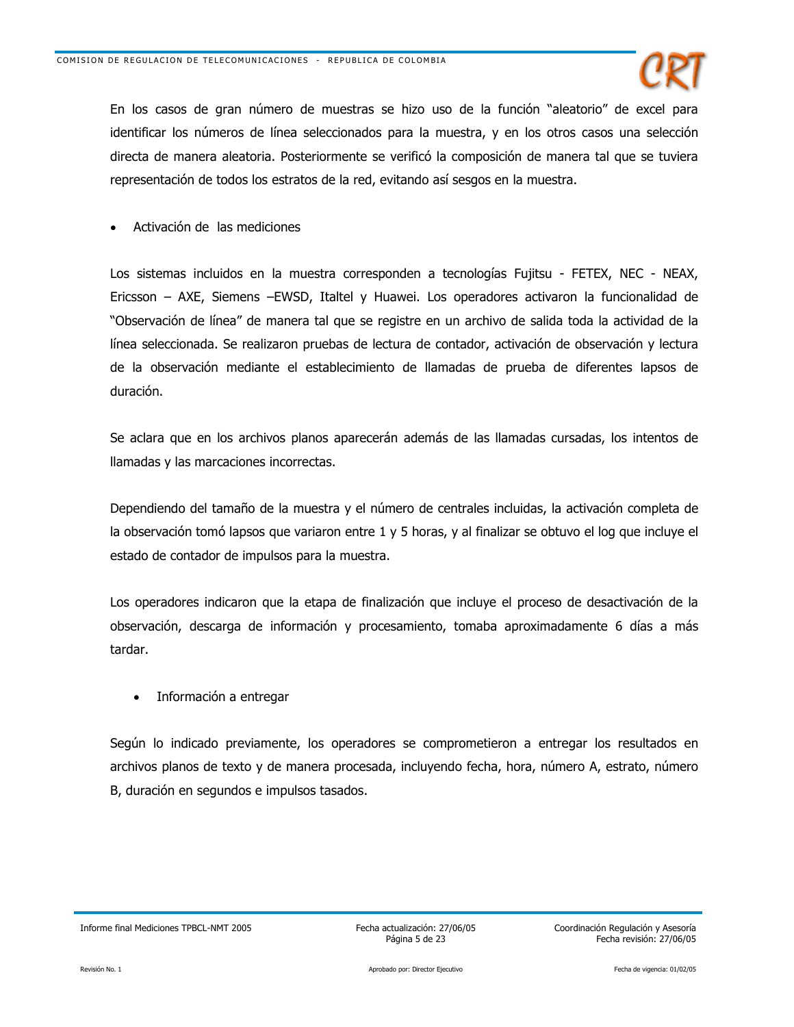

En los casos de gran número de muestras se hizo uso de la función "aleatorio" de excel para identificar los números de línea seleccionados para la muestra, y en los otros casos una selección directa de manera aleatoria. Posteriormente se verificó la composición de manera tal que se tuviera representación de todos los estratos de la red, evitando así sesgos en la muestra.

Activación de las mediciones

Los sistemas incluidos en la muestra corresponden a tecnologías Fujitsu - FETEX, NEC - NEAX, Ericsson - AXE, Siemens - EWSD, Italtel y Huawei. Los operadores activaron la funcionalidad de "Observación de línea" de manera tal que se registre en un archivo de salida toda la actividad de la línea seleccionada. Se realizaron pruebas de lectura de contador, activación de observación y lectura de la observación mediante el establecimiento de llamadas de prueba de diferentes lapsos de duración.

Se aclara que en los archivos planos aparecerán además de las llamadas cursadas, los intentos de llamadas y las marcaciones incorrectas.

Dependiendo del tamaño de la muestra y el número de centrales incluidas, la activación completa de la observación tomó lapsos que variaron entre 1 y 5 horas, y al finalizar se obtuvo el log que incluye el estado de contador de impulsos para la muestra.

Los operadores indicaron que la etapa de finalización que incluye el proceso de desactivación de la observación, descarga de información y procesamiento, tomaba aproximadamente 6 días a más tardar.

Información a entregar  $\bullet$ 

Según lo indicado previamente, los operadores se comprometieron a entregar los resultados en archivos planos de texto y de manera procesada, incluyendo fecha, hora, número A, estrato, número B, duración en segundos e impulsos tasados.

Informe final Mediciones TPBCL-NMT 2005

Fecha actualización: 27/06/05 Página 5 de 23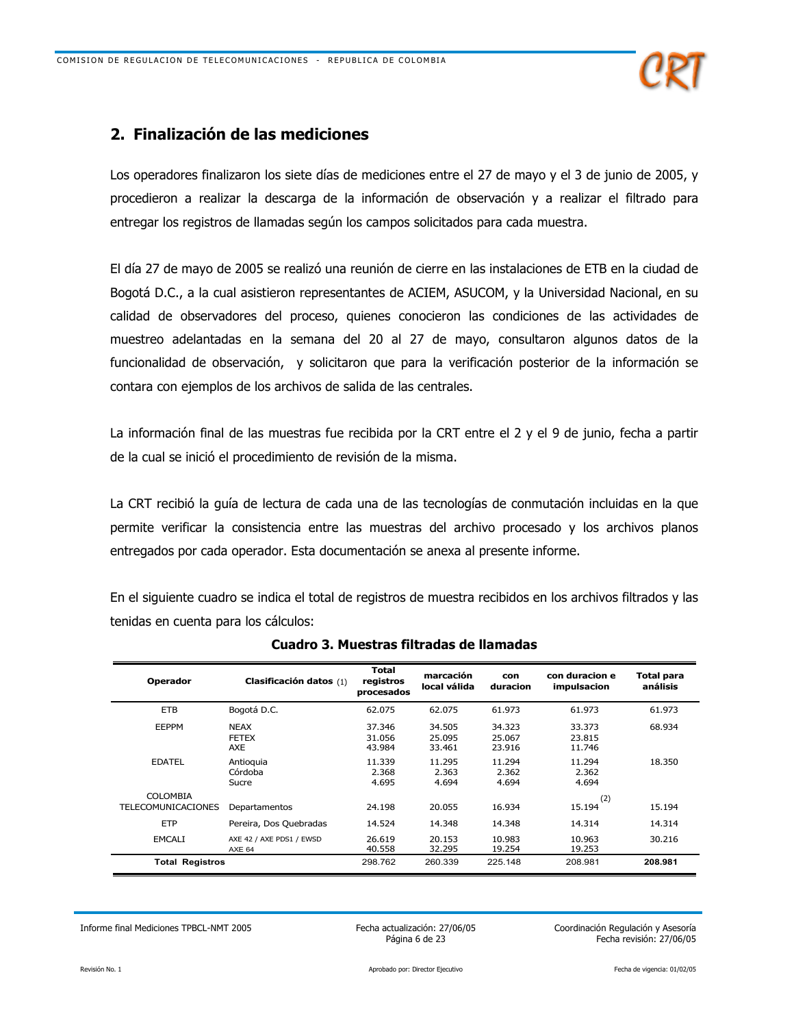

## 2. Finalización de las mediciones

Los operadores finalizaron los siete días de mediciones entre el 27 de mayo y el 3 de junio de 2005, y procedieron a realizar la descarga de la información de observación y a realizar el filtrado para entregar los registros de llamadas según los campos solicitados para cada muestra.

El día 27 de mayo de 2005 se realizó una reunión de cierre en las instalaciones de ETB en la ciudad de Bogotá D.C., a la cual asistieron representantes de ACIEM, ASUCOM, y la Universidad Nacional, en su calidad de observadores del proceso, quienes conocieron las condiciones de las actividades de muestreo adelantadas en la semana del 20 al 27 de mayo, consultaron algunos datos de la funcionalidad de observación, y solicitaron que para la verificación posterior de la información se contara con ejemplos de los archivos de salida de las centrales.

La información final de las muestras fue recibida por la CRT entre el 2 y el 9 de junio, fecha a partir de la cual se inició el procedimiento de revisión de la misma.

La CRT recibió la guía de lectura de cada una de las tecnologías de conmutación incluidas en la que permite verificar la consistencia entre las muestras del archivo procesado y los archivos planos entregados por cada operador. Esta documentación se anexa al presente informe.

En el siguiente cuadro se indica el total de registros de muestra recibidos en los archivos filtrados y las tenidas en cuenta para los cálculos:

| <b>Operador</b>           | Clasificación datos (1)                   | <b>Total</b><br>registros<br>procesados | marcación<br>local válida  | con<br>duracion            | con duracion e<br>impulsacion | Total para<br>análisis |
|---------------------------|-------------------------------------------|-----------------------------------------|----------------------------|----------------------------|-------------------------------|------------------------|
| <b>ETB</b>                | Bogotá D.C.                               | 62.075                                  | 62.075                     | 61.973                     | 61.973                        | 61.973                 |
| <b>EEPPM</b>              | <b>NEAX</b><br><b>FETEX</b><br>AXE        | 37.346<br>31.056<br>43.984              | 34.505<br>25.095<br>33.461 | 34.323<br>25.067<br>23.916 | 33.373<br>23.815<br>11.746    | 68.934                 |
| <b>EDATEL</b>             | Antioquia<br>Córdoba<br>Sucre             | 11.339<br>2.368<br>4.695                | 11.295<br>2.363<br>4.694   | 11.294<br>2.362<br>4.694   | 11.294<br>2.362<br>4.694      | 18.350                 |
| <b>COLOMBIA</b>           |                                           |                                         |                            |                            | (2)                           |                        |
| <b>TELECOMUNICACIONES</b> | Departamentos                             | 24.198                                  | 20.055                     | 16.934                     | 15.194                        | 15.194                 |
| <b>ETP</b>                | Pereira, Dos Quebradas                    | 14.524                                  | 14.348                     | 14.348                     | 14.314                        | 14.314                 |
| <b>EMCALI</b>             | AXE 42 / AXE PDS1 / EWSD<br><b>AXE 64</b> | 26.619<br>40.558                        | 20.153<br>32.295           | 10.983<br>19.254           | 10.963<br>19.253              | 30.216                 |
| <b>Total Registros</b>    |                                           | 298.762                                 | 260.339                    | 225.148                    | 208.981                       | 208.981                |

## Cuadro 3. Muestras filtradas de llamadas

Informe final Mediciones TPBCL-NMT 2005

Fecha actualización: 27/06/05 Página 6 de 23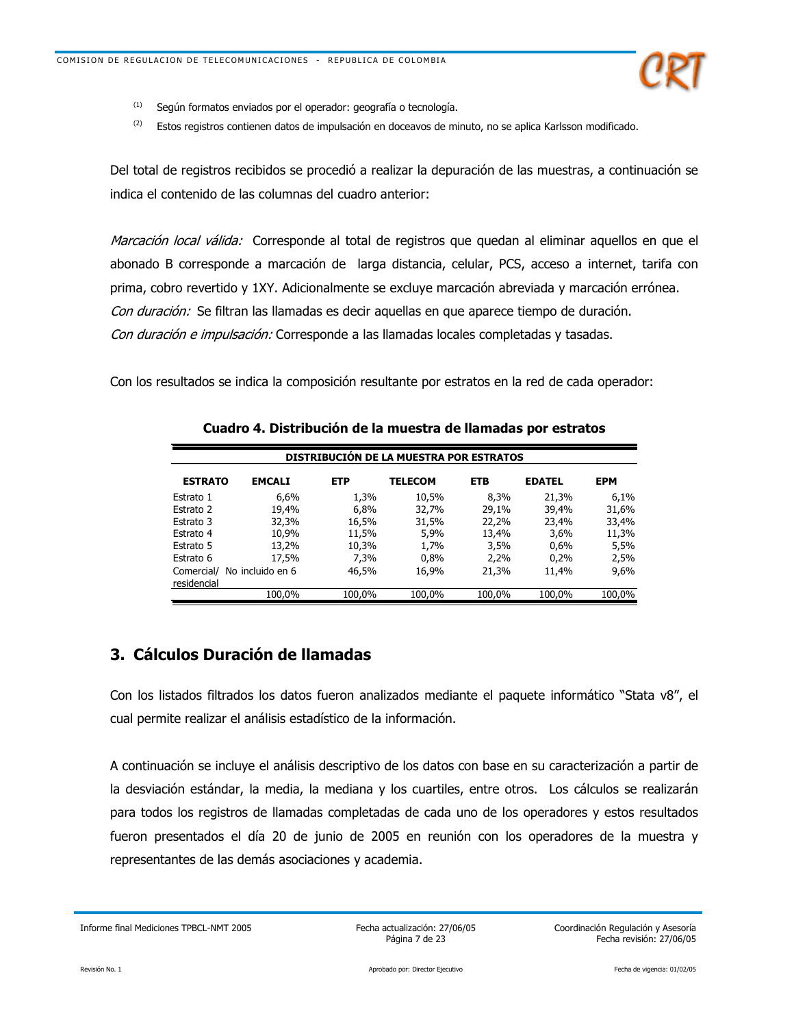

- $(1)$ Según formatos enviados por el operador: geografía o tecnología.
- $(2)$ Estos registros contienen datos de impulsación en doceavos de minuto, no se aplica Karlsson modificado.

Del total de registros recibidos se procedió a realizar la depuración de las muestras, a continuación se indica el contenido de las columnas del cuadro anterior:

Marcación local válida: Corresponde al total de registros que quedan al eliminar aquellos en que el abonado B corresponde a marcación de larga distancia, celular, PCS, acceso a internet, tarifa con prima, cobro revertido y 1XY. Adicionalmente se excluye marcación abreviada y marcación errónea. Con duración: Se filtran las llamadas es decir aquellas en que aparece tiempo de duración. Con duración e impulsación: Corresponde a las llamadas locales completadas y tasadas.

Con los resultados se indica la composición resultante por estratos en la red de cada operador:

| <b>DISTRIBUCIÓN DE LA MUESTRA POR ESTRATOS</b> |                  |            |                |            |               |            |
|------------------------------------------------|------------------|------------|----------------|------------|---------------|------------|
| <b>ESTRATO</b>                                 | <b>EMCALI</b>    | <b>ETP</b> | <b>TELECOM</b> | <b>ETB</b> | <b>EDATEL</b> | <b>EPM</b> |
| Estrato 1                                      | 6,6%             | 1,3%       | 10,5%          | 8.3%       | 21,3%         | 6,1%       |
| Estrato 2                                      | 19,4%            | $6.8\%$    | 32,7%          | 29.1%      | 39,4%         | 31,6%      |
| Estrato 3                                      | 32,3%            | 16,5%      | 31,5%          | 22,2%      | 23,4%         | 33,4%      |
| Estrato 4                                      | 10,9%            | 11,5%      | 5,9%           | 13,4%      | 3,6%          | 11,3%      |
| Estrato 5                                      | 13,2%            | 10,3%      | 1,7%           | 3,5%       | 0,6%          | 5,5%       |
| Estrato 6                                      | 17,5%            | 7,3%       | 0,8%           | 2,2%       | 0,2%          | 2,5%       |
| Comercial/<br>residencial                      | No incluido en 6 | 46,5%      | 16,9%          | 21,3%      | 11,4%         | 9,6%       |
|                                                | 100.0%           | 100.0%     | 100.0%         | 100.0%     | 100.0%        | 100.0%     |

Cuadro 4. Distribución de la muestra de llamadas por estratos

## 3. Cálculos Duración de llamadas

Con los listados filtrados los datos fueron analizados mediante el paquete informático "Stata v8", el cual permite realizar el análisis estadístico de la información.

A continuación se incluye el análisis descriptivo de los datos con base en su caracterización a partir de la desviación estándar, la media, la mediana y los cuartiles, entre otros. Los cálculos se realizarán para todos los registros de llamadas completadas de cada uno de los operadores y estos resultados fueron presentados el día 20 de junio de 2005 en reunión con los operadores de la muestra y representantes de las demás asociaciones y academia.

Informe final Mediciones TPBCL-NMT 2005

Fecha actualización: 27/06/05 Página 7 de 23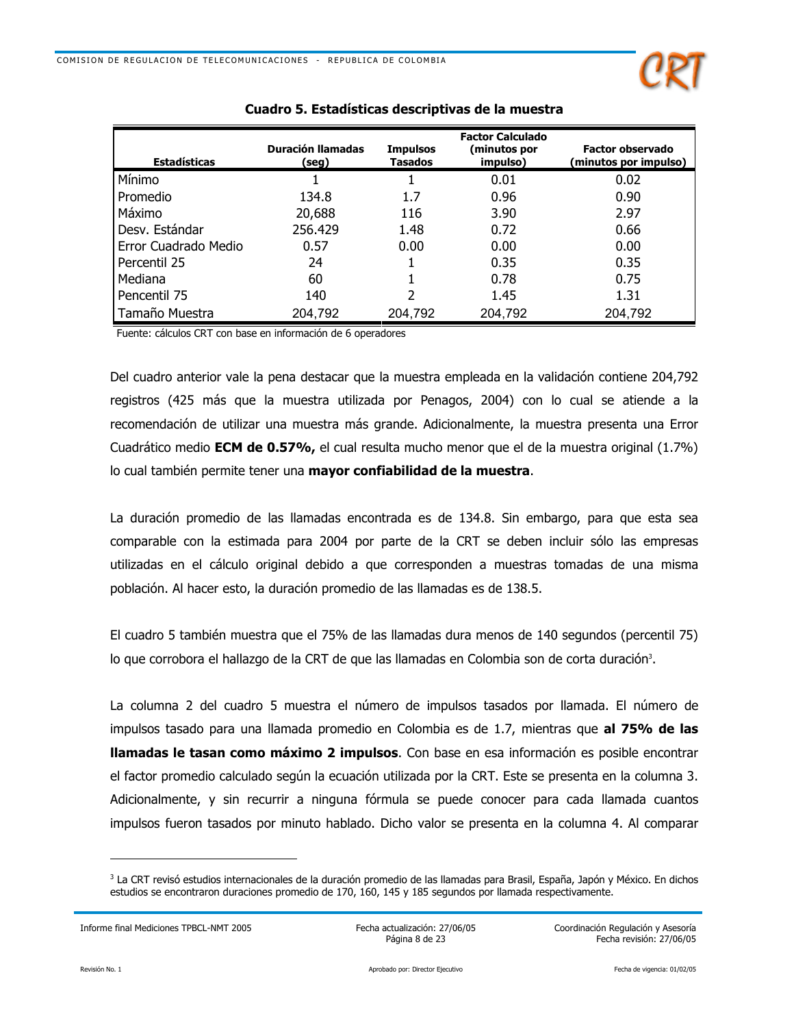

| <b>Estadísticas</b>  | <b>Duración llamadas</b><br>(seg) | <b>Impulsos</b><br><b>Tasados</b> | <b>Factor Calculado</b><br>(minutos por<br>impulso) | <b>Factor observado</b><br>(minutos por impulso) |
|----------------------|-----------------------------------|-----------------------------------|-----------------------------------------------------|--------------------------------------------------|
| Mínimo               |                                   |                                   | 0.01                                                | 0.02                                             |
| Promedio             | 134.8                             | 1.7                               | 0.96                                                | 0.90                                             |
| Máximo               | 20,688                            | 116                               | 3.90                                                | 2.97                                             |
| Desv. Estándar       | 256.429                           | 1.48                              | 0.72                                                | 0.66                                             |
| Error Cuadrado Medio | 0.57                              | 0.00                              | 0.00                                                | 0.00                                             |
| Percentil 25         | 24                                |                                   | 0.35                                                | 0.35                                             |
| Mediana              | 60                                |                                   | 0.78                                                | 0.75                                             |
| Pencentil 75         | 140                               | 2                                 | 1.45                                                | 1.31                                             |
| Tamaño Muestra       | 204,792                           | 204.792                           | 204,792                                             | 204,792                                          |

Fuente: cálculos CRT con base en información de 6 operadores

Del cuadro anterior vale la pena destacar que la muestra empleada en la validación contiene 204,792 registros (425 más que la muestra utilizada por Penagos, 2004) con lo cual se atiende a la recomendación de utilizar una muestra más grande. Adicionalmente, la muestra presenta una Error Cuadrático medio ECM de 0.57%, el cual resulta mucho menor que el de la muestra original (1.7%) lo cual también permite tener una mayor confiabilidad de la muestra.

La duración promedio de las llamadas encontrada es de 134.8. Sin embargo, para que esta sea comparable con la estimada para 2004 por parte de la CRT se deben incluir sólo las empresas utilizadas en el cálculo original debido a que corresponden a muestras tomadas de una misma población. Al hacer esto, la duración promedio de las llamadas es de 138.5.

El cuadro 5 también muestra que el 75% de las llamadas dura menos de 140 segundos (percentil 75) lo que corrobora el hallazgo de la CRT de que las llamadas en Colombia son de corta duración<sup>3</sup>.

La columna 2 del cuadro 5 muestra el número de impulsos tasados por llamada. El número de impulsos tasado para una llamada promedio en Colombia es de 1.7, mientras que al 75% de las **llamadas le tasan como máximo 2 impulsos**. Con base en esa información es posible encontrar el factor promedio calculado según la ecuación utilizada por la CRT. Este se presenta en la columna 3. Adicionalmente, y sin recurrir a ninguna fórmula se puede conocer para cada llamada cuantos impulsos fueron tasados por minuto hablado. Dicho valor se presenta en la columna 4. Al comparar

Informe final Mediciones TPBCL-NMT 2005

Fecha actualización: 27/06/05 Página 8 de 23

<sup>&</sup>lt;sup>3</sup> La CRT revisó estudios internacionales de la duración promedio de las llamadas para Brasil, España, Japón y México. En dichos estudios se encontraron duraciones promedio de 170, 160, 145 y 185 segundos por llamada respectivamente.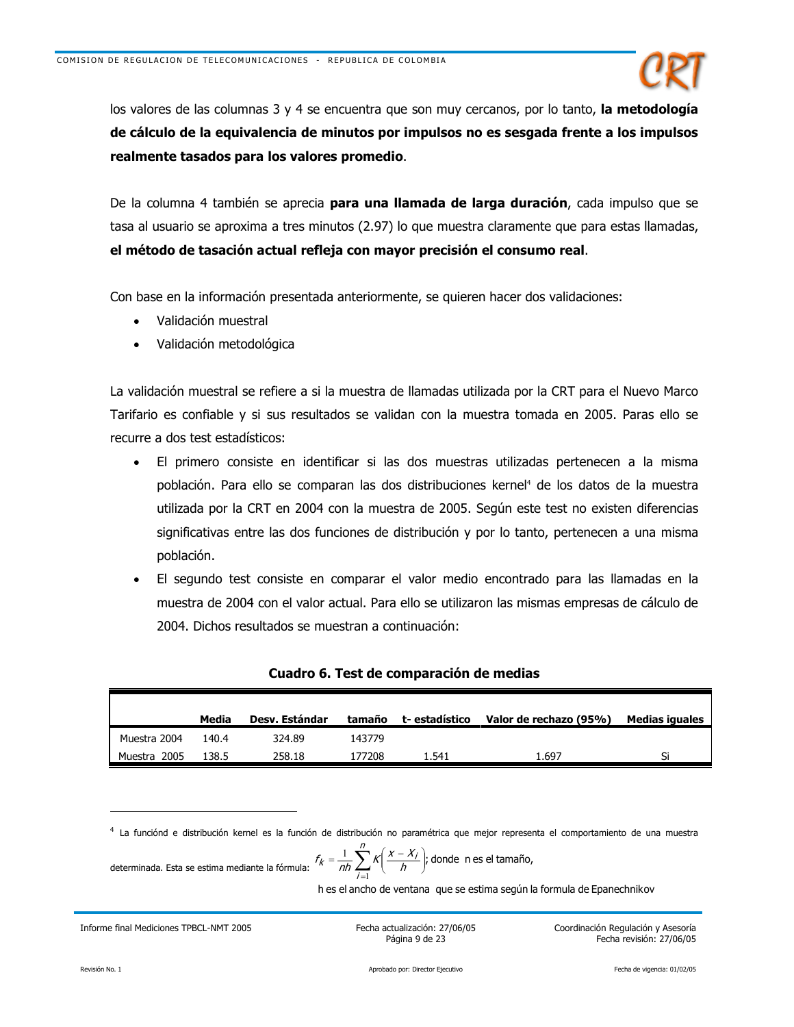

los valores de las columnas 3 y 4 se encuentra que son muy cercanos, por lo tanto, la metodología de cálculo de la equivalencia de minutos por impulsos no es sesgada frente a los impulsos realmente tasados para los valores promedio.

De la columna 4 también se aprecia **para una llamada de larga duración**, cada impulso que se tasa al usuario se aproxima a tres minutos (2.97) lo que muestra claramente que para estas llamadas, el método de tasación actual refleja con mayor precisión el consumo real.

Con base en la información presentada anteriormente, se quieren hacer dos validaciones:

- Validación muestral
- Validación metodológica

La validación muestral se refiere a si la muestra de llamadas utilizada por la CRT para el Nuevo Marco Tarifario es confiable y si sus resultados se validan con la muestra tomada en 2005. Paras ello se recurre a dos test estadísticos:

- El primero consiste en identificar si las dos muestras utilizadas pertenecen a la misma población. Para ello se comparan las dos distribuciones kernel<sup>4</sup> de los datos de la muestra utilizada por la CRT en 2004 con la muestra de 2005. Según este test no existen diferencias significativas entre las dos funciones de distribución y por lo tanto, pertenecen a una misma población.
- El segundo test consiste en comparar el valor medio encontrado para las llamadas en la muestra de 2004 con el valor actual. Para ello se utilizaron las mismas empresas de cálculo de 2004. Dichos resultados se muestran a continuación:

|              | Media | Desv. Estándar | tamaño | t- estadístico | Valor de rechazo (95%) | Medias iguales |
|--------------|-------|----------------|--------|----------------|------------------------|----------------|
| Muestra 2004 | 140.4 | 324.89         | 143779 |                |                        |                |
| Muestra 2005 | 138.5 | 258.18         | 177208 | 1.541          | 1.697                  | Ci             |

## Cuadro 6. Test de comparación de medias

4 La funciónd e distribución kernel es la función de distribución no paramétrica que mejor representa el comportamiento de una muestra

determinada. Esta se estima mediante la fórmula: 
$$
f_k = \frac{1}{nh} \sum_{i=1}^{n} K\left(\frac{x - x_i}{h}\right)
$$
; donde n es el tamaño,

h es el ancho de ventana que se estima según la formula de Epanechnikov

Informe final Mediciones TPBCL-NMT 2005

Fecha actualización: 27/06/05 Página 9 de 23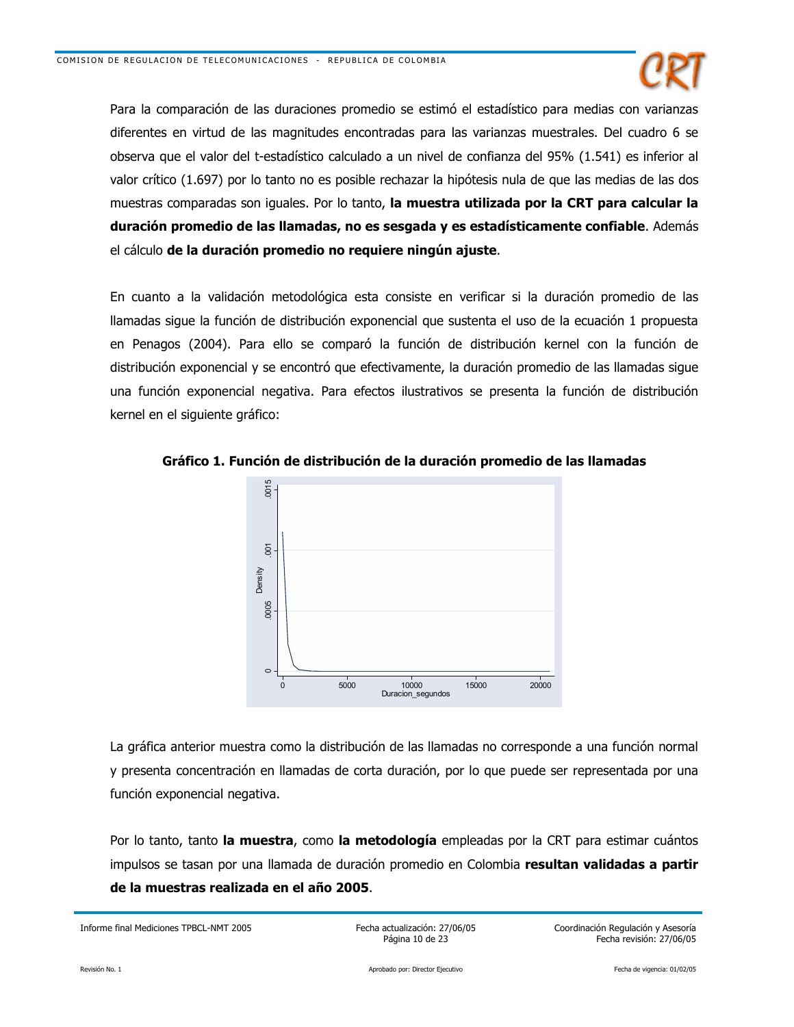

Para la comparación de las duraciones promedio se estimó el estadístico para medias con varianzas diferentes en virtud de las magnitudes encontradas para las varianzas muestrales. Del cuadro 6 se observa que el valor del t-estadístico calculado a un nivel de confianza del 95% (1.541) es inferior al valor crítico (1.697) por lo tanto no es posible rechazar la hipótesis nula de que las medias de las dos muestras comparadas son iguales. Por lo tanto, la muestra utilizada por la CRT para calcular la duración promedio de las llamadas, no es sesgada y es estadísticamente confiable. Además el cálculo de la duración promedio no requiere ningún ajuste.

En cuanto a la validación metodológica esta consiste en verificar si la duración promedio de las llamadas sigue la función de distribución exponencial que sustenta el uso de la ecuación 1 propuesta en Penagos (2004). Para ello se comparó la función de distribución kernel con la función de distribución exponencial y se encontró que efectivamente, la duración promedio de las llamadas sigue una función exponencial negativa. Para efectos ilustrativos se presenta la función de distribución kernel en el siguiente gráfico:



Gráfico 1. Función de distribución de la duración promedio de las llamadas

La gráfica anterior muestra como la distribución de las llamadas no corresponde a una función normal y presenta concentración en llamadas de corta duración, por lo que puede ser representada por una función exponencial negativa.

Por lo tanto, tanto la muestra, como la metodología empleadas por la CRT para estimar cuántos impulsos se tasan por una llamada de duración promedio en Colombia resultan validadas a partir de la muestras realizada en el año 2005.

Informe final Mediciones TPBCL-NMT 2005

Fecha actualización: 27/06/05 Página 10 de 23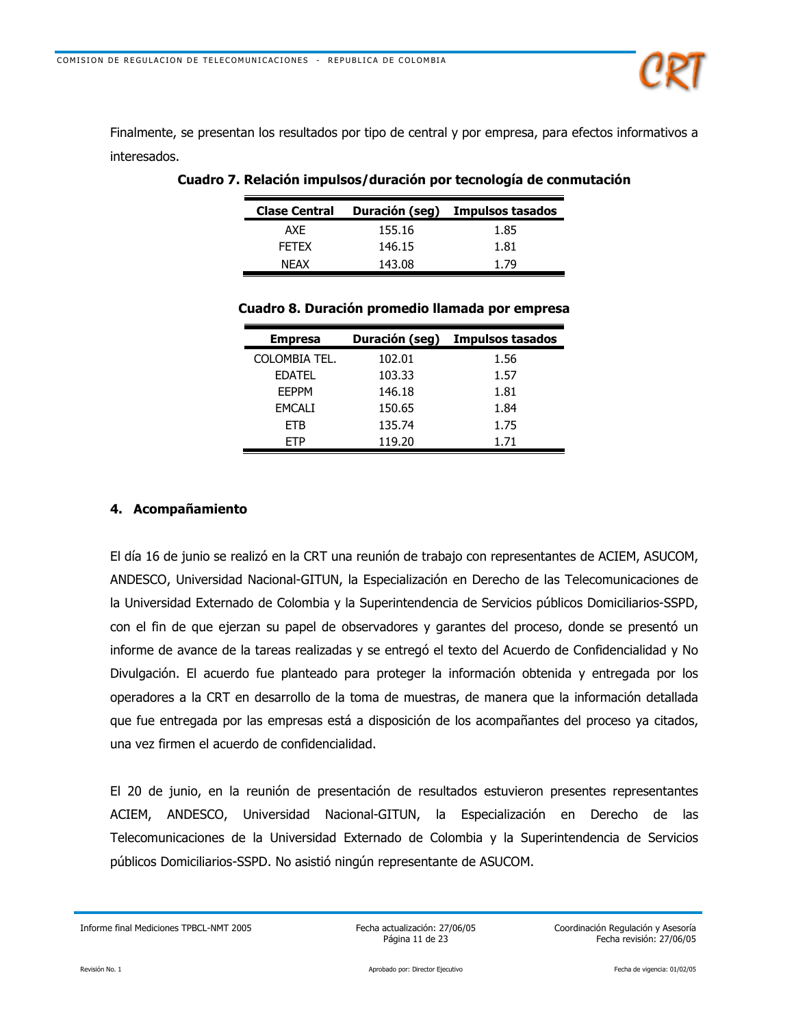

Finalmente, se presentan los resultados por tipo de central y por empresa, para efectos informativos a interesados.

| <b>Clase Central</b> | Duración (seg) | Impulsos tasados |
|----------------------|----------------|------------------|
| AXF                  | 155.16         | 1.85             |
| <b>FFTFX</b>         | 146.15         | 1.81             |
| <b>NFAX</b>          | 143.08         | 1.79             |

Cuadro 7. Relación impulsos/duración por tecnología de conmutación

| <b>Empresa</b> | Duración (seg) | Impulsos tasados |
|----------------|----------------|------------------|
| COLOMBIA TEL.  | 102.01         | 1.56             |
| <b>EDATEL</b>  | 103.33         | 1.57             |
| <b>FFPPM</b>   | 146.18         | 1.81             |
| EMCALI         | 150.65         | 1.84             |
| <b>ETB</b>     | 135.74         | 1.75             |
| FTP            | 119.20         | 1.71             |

## Cuadro 8. Duración promedio llamada por empresa

#### 4. Acompañamiento

El día 16 de junio se realizó en la CRT una reunión de trabajo con representantes de ACIEM, ASUCOM, ANDESCO, Universidad Nacional-GITUN, la Especialización en Derecho de las Telecomunicaciones de la Universidad Externado de Colombia y la Superintendencia de Servicios públicos Domiciliarios-SSPD, con el fin de que ejerzan su papel de observadores y garantes del proceso, donde se presentó un informe de avance de la tareas realizadas y se entregó el texto del Acuerdo de Confidencialidad y No Divulgación. El acuerdo fue planteado para proteger la información obtenida y entregada por los operadores a la CRT en desarrollo de la toma de muestras, de manera que la información detallada que fue entregada por las empresas está a disposición de los acompañantes del proceso ya citados, una vez firmen el acuerdo de confidencialidad.

El 20 de junio, en la reunión de presentación de resultados estuvieron presentes representantes ACIEM, ANDESCO, Universidad Nacional-GITUN, la Especialización en Derecho de las Telecomunicaciones de la Universidad Externado de Colombia y la Superintendencia de Servicios públicos Domiciliarios-SSPD. No asistió ningún representante de ASUCOM.

Fecha actualización: 27/06/05 Página 11 de 23

Informe final Mediciones TPBCL-NMT 2005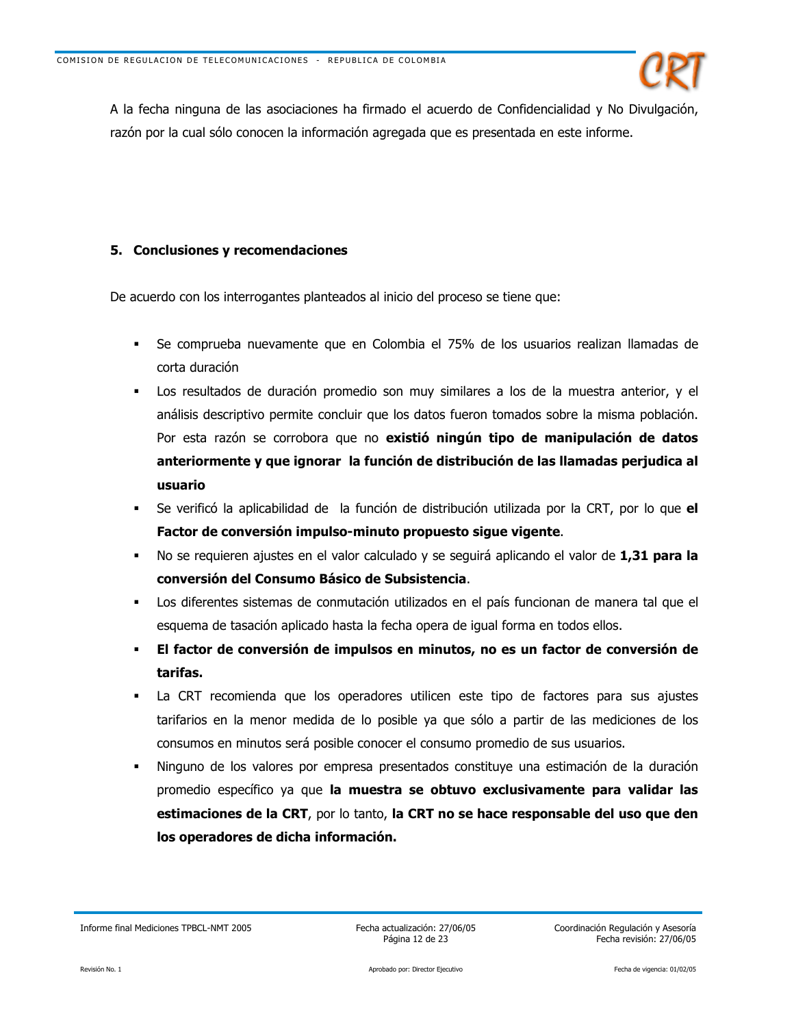

A la fecha ninguna de las asociaciones ha firmado el acuerdo de Confidencialidad y No Divulgación, razón por la cual sólo conocen la información agregada que es presentada en este informe.

## 5. Conclusiones y recomendaciones

De acuerdo con los interrogantes planteados al inicio del proceso se tiene que:

- Se comprueba nuevamente que en Colombia el 75% de los usuarios realizan llamadas de  $\blacksquare$ corta duración
- Los resultados de duración promedio son muy similares a los de la muestra anterior, y el análisis descriptivo permite concluir que los datos fueron tomados sobre la misma población. Por esta razón se corrobora que no existió ningún tipo de manipulación de datos anteriormente y que ignorar la función de distribución de las llamadas perjudica al usuario
- Se verificó la aplicabilidad de la función de distribución utilizada por la CRT, por lo que el Factor de conversión impulso-minuto propuesto sigue vigente.
- No se requieren ajustes en el valor calculado y se seguirá aplicando el valor de 1,31 para la conversión del Consumo Básico de Subsistencia.
- Los diferentes sistemas de conmutación utilizados en el país funcionan de manera tal que el esquema de tasación aplicado hasta la fecha opera de igual forma en todos ellos.
- El factor de conversión de impulsos en minutos, no es un factor de conversión de tarifas.
- La CRT recomienda que los operadores utilicen este tipo de factores para sus ajustes tarifarios en la menor medida de lo posible ya que sólo a partir de las mediciones de los consumos en minutos será posible conocer el consumo promedio de sus usuarios.
- Ninguno de los valores por empresa presentados constituye una estimación de la duración promedio específico ya que la muestra se obtuvo exclusivamente para validar las estimaciones de la CRT, por lo tanto, la CRT no se hace responsable del uso que den los operadores de dicha información.

Informe final Mediciones TPBCL-NMT 2005

Fecha actualización: 27/06/05 Página 12 de 23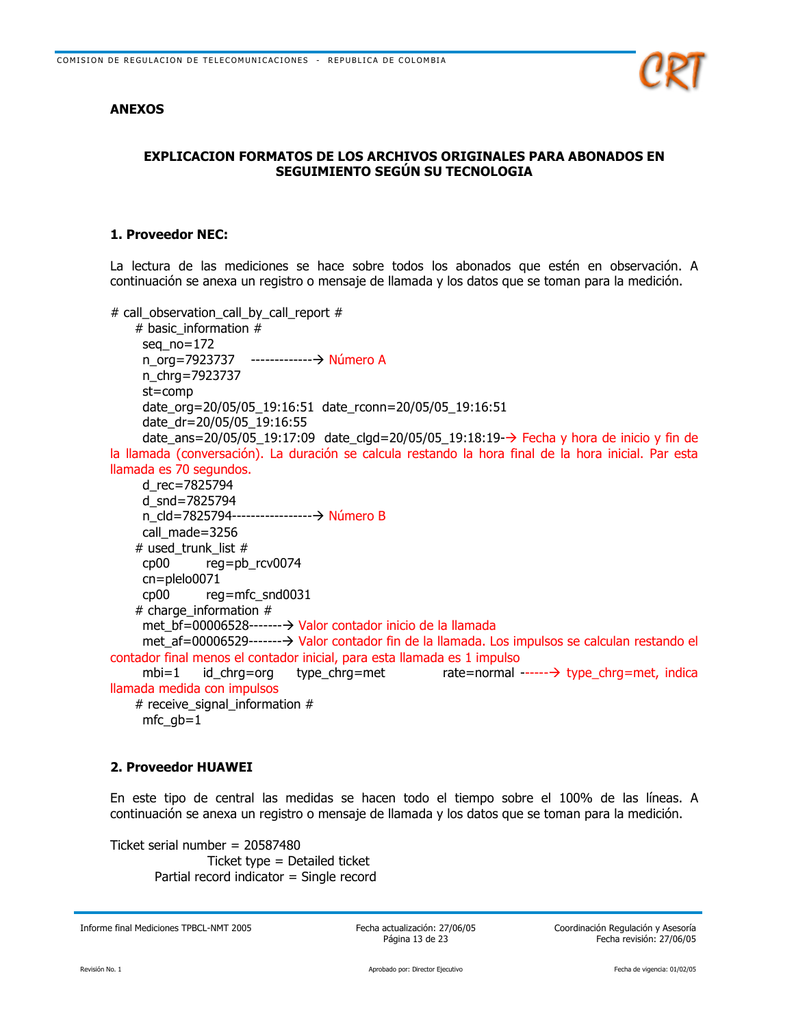## **ANEXOS**



## **EXPLICACION FORMATOS DE LOS ARCHIVOS ORIGINALES PARA ABONADOS EN** SEGUIMIENTO SEGÚN SU TECNOLOGIA

## 1. Proveedor NEC:

La lectura de las mediciones se hace sobre todos los abonados que estén en observación. A continuación se anexa un registro o mensaje de llamada y los datos que se toman para la medición.

# call\_observation\_call\_by\_call\_report #

# basic\_information # seg  $no=172$ n\_org=7923737 --------------→ Número A n chrg=7923737 st=comp date\_org=20/05/05\_19:16:51 date\_rconn=20/05/05\_19:16:51 date dr=20/05/05 19:16:55 date ans=20/05/05 19:17:09 date clgd=20/05/05 19:18:19- $\rightarrow$  Fecha y hora de inicio y fin de la llamada (conversación). La duración se calcula restando la hora final de la hora inicial. Par esta llamada es 70 segundos. d\_rec=7825794 d\_snd=7825794 n cld=7825794------------------→ Número B call made=3256 # used trunk list #  $cp00$ reg=pb\_rcv0074  $cn = plelo0071$  $c<sub>D</sub>00$ reg=mfc snd0031 # charge information  $#$ met\_bf=00006528--------> Valor contador inicio de la llamada met\_af=00006529-------→ Valor contador fin de la llamada. Los impulsos se calculan restando el contador final menos el contador inicial, para esta llamada es 1 impulso  $mbi = 1$ id chrg=org type chrg=met rate=normal ------ $\rightarrow$  type chrq=met, indica llamada medida con impulsos # receive signal information #  $mfc\_gb=1$ 

## **2. Proveedor HUAWEI**

En este tipo de central las medidas se hacen todo el tiempo sobre el 100% de las líneas. A continuación se anexa un registro o mensaje de llamada y los datos que se toman para la medición.

Ticket serial number =  $20587480$ Ticket type  $=$  Detailed ticket Partial record indicator = Single record

Informe final Mediciones TPBCL-NMT 2005

Fecha actualización: 27/06/05 Página 13 de 23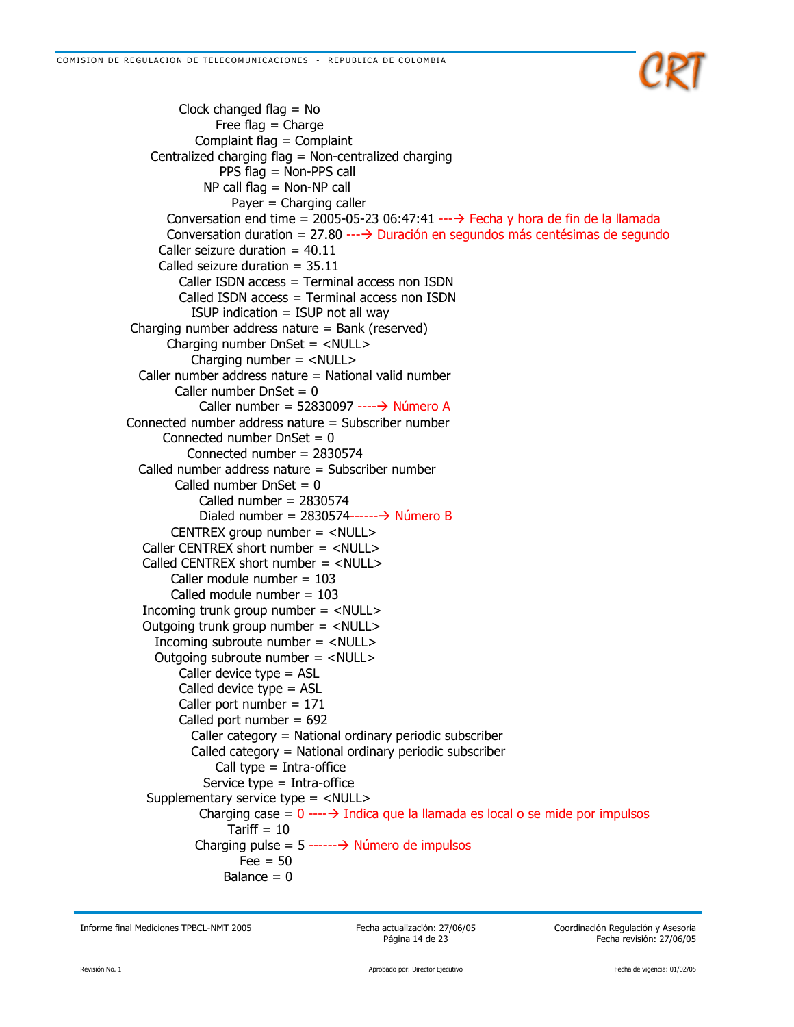

Clock changed flag  $=$  No Free flag  $=$  Charge Complaint flag = Complaint Centralized charging flag = Non-centralized charging PPS flag = Non-PPS call  $NP$  call flag = Non-NP call Payer = Charging caller Conversation end time = 2005-05-23 06:47:41 ----> Fecha y hora de fin de la llamada Conversation duration =  $27.80 \rightarrow$  Duración en segundos más centésimas de segundo Caller seizure duration =  $40.11$ Called seizure duration =  $35.11$ Caller ISDN  $\arccos =$  Terminal  $\arccos$  non ISDN Called ISDN access = Terminal access non ISDN ISUP indication  $=$  ISUP not all way Charging number address nature = Bank (reserved) Charging number DnSet = <NULL> Charging number  $=$  <NULL> Caller number address nature = National valid number Caller number DnSet =  $0$ Caller number = 52830097 ----  $\rightarrow$  Número A Connected number address nature = Subscriber number Connected number  $DnSet = 0$ Connected number =  $2830574$ Called number address nature = Subscriber number Called number  $DnSet = 0$ Called number =  $2830574$ Dialed number =  $2830574--- \rightarrow$  Número B CENTREX aroup number  $=$  <NULL> Caller CENTREX short number =  $\langle$  NULL $\rangle$ Called CENTREX short number =  $\langle$ NULL> Caller module number =  $103$ Called module number =  $103$ Incoming trunk group number  $=$  <NULL> Outgoing trunk group number  $=$  <NULL> Incoming subroute number = <NULL> Outgoing subroute number = <NULL> Caller device type  $=$  ASL Called device type  $=$  ASL Caller port number =  $171$ Called port number =  $692$ Caller category = National ordinary periodic subscriber Called category = National ordinary periodic subscriber Call type  $=$  Intra-office Service type  $=$  Intra-office Supplementary service type = <NULL> Charging case =  $0 \rightarrow \rightarrow$  Indica que la llamada es local o se mide por impulsos Tariff  $= 10$ Charging pulse =  $5$  ------ $\rightarrow$  Número de impulsos  $Fee = 50$ Balance  $= 0$ 

Informe final Mediciones TPBCL-NMT 2005

Fecha actualización: 27/06/05 Página 14 de 23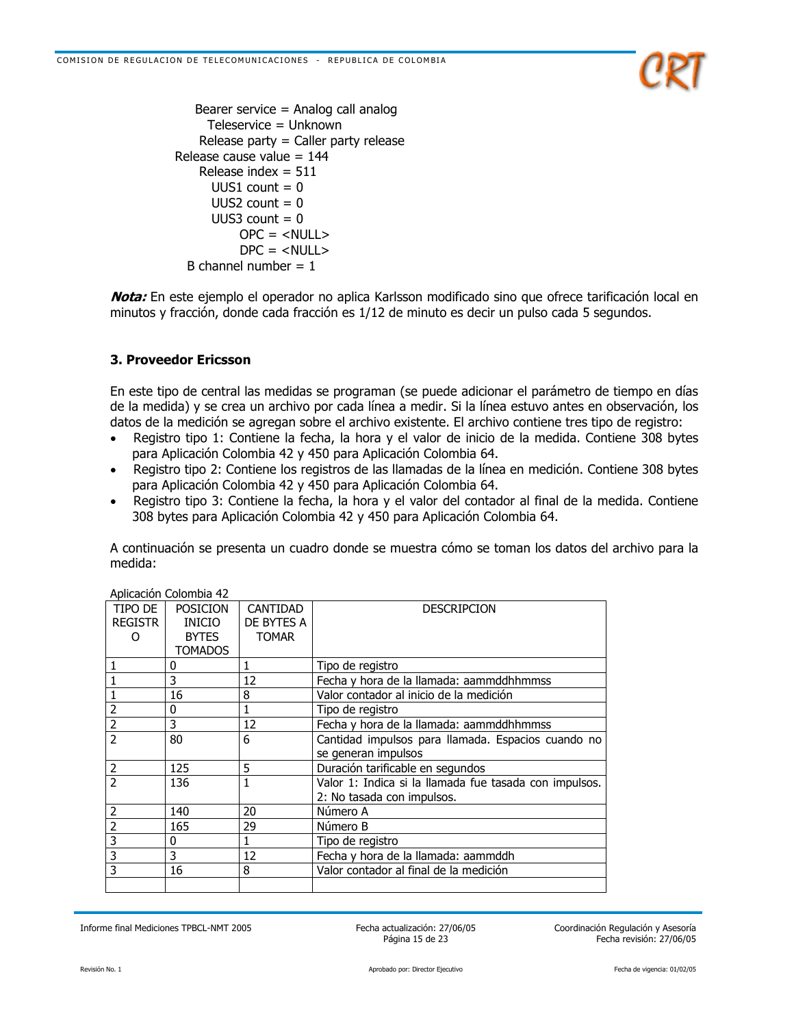

```
Bearer service = Analog call analog
    Teleservice = Unknown
   Release party = Caller party release
Release cause value = 144Release index = 511UUS1 count = 0UUS2 count = 0UUS3 count = 0OPC = <NULL>DPC = <NULB channel number = 1
```
**Nota:** En este ejemplo el operador no aplica Karlsson modificado sino que ofrece tarificación local en minutos y fracción, donde cada fracción es 1/12 de minuto es decir un pulso cada 5 segundos.

## **3. Proveedor Ericsson**

En este tipo de central las medidas se programan (se puede adicionar el parámetro de tiempo en días de la medida) y se crea un archivo por cada línea a medir. Si la línea estuvo antes en observación, los datos de la medición se agregan sobre el archivo existente. El archivo contiene tres tipo de registro:

- Registro tipo 1: Contiene la fecha, la hora y el valor de inicio de la medida. Contiene 308 bytes  $\bullet$ para Aplicación Colombia 42 y 450 para Aplicación Colombia 64.
- Registro tipo 2: Contiene los registros de las llamadas de la línea en medición. Contiene 308 bytes  $\bullet$ para Aplicación Colombia 42 y 450 para Aplicación Colombia 64.
- Registro tipo 3: Contiene la fecha, la hora y el valor del contador al final de la medida. Contiene 308 bytes para Aplicación Colombia 42 y 450 para Aplicación Colombia 64.

A continuación se presenta un cuadro donde se muestra cómo se toman los datos del archivo para la medida:

| TIPO DE        | <b>POSICION</b> | CANTIDAD     | DESCRIPCION                                            |
|----------------|-----------------|--------------|--------------------------------------------------------|
| <b>REGISTR</b> | <b>INICIO</b>   | DE BYTES A   |                                                        |
| Ω              | <b>BYTES</b>    | <b>TOMAR</b> |                                                        |
|                | TOMADOS         |              |                                                        |
|                | 0               |              | Tipo de registro                                       |
|                | 3               | 12           | Fecha y hora de la llamada: aammddhhmmss               |
|                | 16              | 8            | Valor contador al inicio de la medición                |
| $\overline{2}$ | 0               | 1            | Tipo de registro                                       |
| $\overline{2}$ | 3               | 12           | Fecha y hora de la llamada: aammddhhmmss               |
| $\overline{2}$ | 80              | 6            | Cantidad impulsos para llamada. Espacios cuando no     |
|                |                 |              | se generan impulsos                                    |
| $\overline{2}$ | 125             | 5            | Duración tarificable en segundos                       |
| $\overline{2}$ | 136             |              | Valor 1: Indica si la llamada fue tasada con impulsos. |
|                |                 |              | 2: No tasada con impulsos.                             |
| $\overline{2}$ | 140             | 20           | Número A                                               |
| $\overline{2}$ | 165             | 29           | Número B                                               |
| $\overline{3}$ | 0               | 1            | Tipo de registro                                       |
| $\overline{3}$ | 3               | 12           | Fecha y hora de la llamada: aammddh                    |
| $\overline{3}$ | 16              | 8            | Valor contador al final de la medición                 |
|                |                 |              |                                                        |

Anlicación Colombia 42

Informe final Mediciones TPBCL-NMT 2005

Fecha actualización: 27/06/05 Página 15 de 23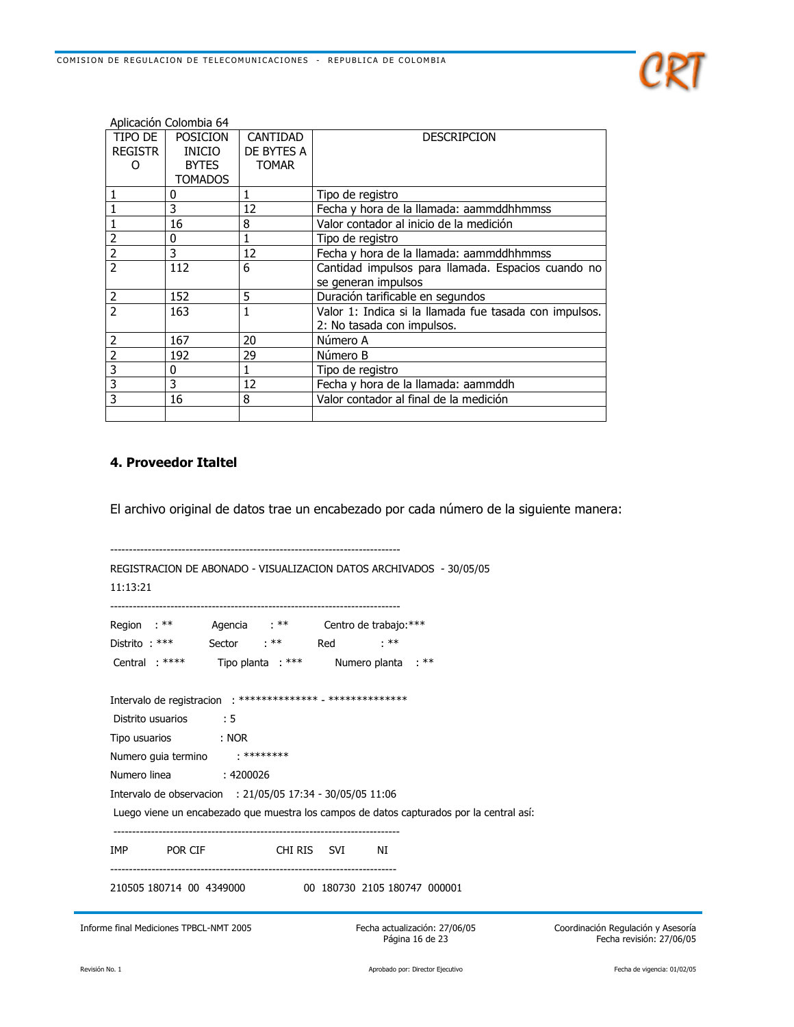

|                          | Aplicación Colombia 64 |              |                                                        |
|--------------------------|------------------------|--------------|--------------------------------------------------------|
| TIPO DE                  | <b>POSICION</b>        | CANTIDAD     | <b>DESCRIPCION</b>                                     |
| REGISTR                  | INICIO                 | DE BYTES A   |                                                        |
| Ω                        | <b>BYTES</b>           | <b>TOMAR</b> |                                                        |
|                          | <b>TOMADOS</b>         |              |                                                        |
|                          | 0                      | 1            | Tipo de registro                                       |
|                          | 3                      | 12           | Fecha y hora de la llamada: aammddhhmmss               |
|                          | 16                     | 8            | Valor contador al inicio de la medición                |
| 2                        | 0                      | 1            | Tipo de registro                                       |
| $\overline{2}$           | 3                      | 12           | Fecha y hora de la llamada: aammddhhmmss               |
| $\overline{2}$           | 112                    | 6            | Cantidad impulsos para llamada. Espacios cuando no     |
|                          |                        |              | se generan impulsos                                    |
| 2                        | 152                    | 5            | Duración tarificable en segundos                       |
| $\overline{\phantom{a}}$ | 163                    | 1            | Valor 1: Indica si la llamada fue tasada con impulsos. |
|                          |                        |              | 2: No tasada con impulsos.                             |
| 2                        | 167                    | 20           | Número A                                               |
| $\overline{2}$           | 192                    | 29           | Número B                                               |
| 3                        | 0                      |              | Tipo de registro                                       |
| 3                        | 3                      | 12           | Fecha y hora de la llamada: aammddh                    |
| 3                        | 16                     | 8            | Valor contador al final de la medición                 |
|                          |                        |              |                                                        |

## 4. Proveedor Italtel

El archivo original de datos trae un encabezado por cada número de la siguiente manera:

| 11:13:21                                                      |             |                                                                                          |                                                           |
|---------------------------------------------------------------|-------------|------------------------------------------------------------------------------------------|-----------------------------------------------------------|
| Region : ** Agencia : ** Centro de trabajo: ***               |             |                                                                                          |                                                           |
| Distrito $:***$                                               | Sector : ** | $.**$<br>Red                                                                             |                                                           |
| Central : **** Tipo planta : ***                              |             | Numero planta : **                                                                       |                                                           |
| Intervalo de registracion : ************** - **************** |             |                                                                                          |                                                           |
| Distrito usuarios<br>$\cdot$ : 5                              |             |                                                                                          |                                                           |
| Tipo usuarios : NOR                                           |             |                                                                                          |                                                           |
| Numero guia termino : ********                                |             |                                                                                          |                                                           |
| Numero linea : 4200026                                        |             |                                                                                          |                                                           |
| Intervalo de observacion : 21/05/05 17:34 - 30/05/05 11:06    |             |                                                                                          |                                                           |
|                                                               |             | Luego viene un encabezado que muestra los campos de datos capturados por la central así: |                                                           |
| IMP POR CIF CHI RIS SVI                                       |             | NI                                                                                       |                                                           |
|                                                               |             | 210505 180714 00 4349000 00 180730 2105 180747 000001                                    |                                                           |
| Informe final Mediciones TPBCL-NMT 2005                       |             | Fecha actualización: 27/06/05<br>Página 16 de 23                                         | Coordinación Regulación y Aseso<br>Fecha revisión: 27/06/ |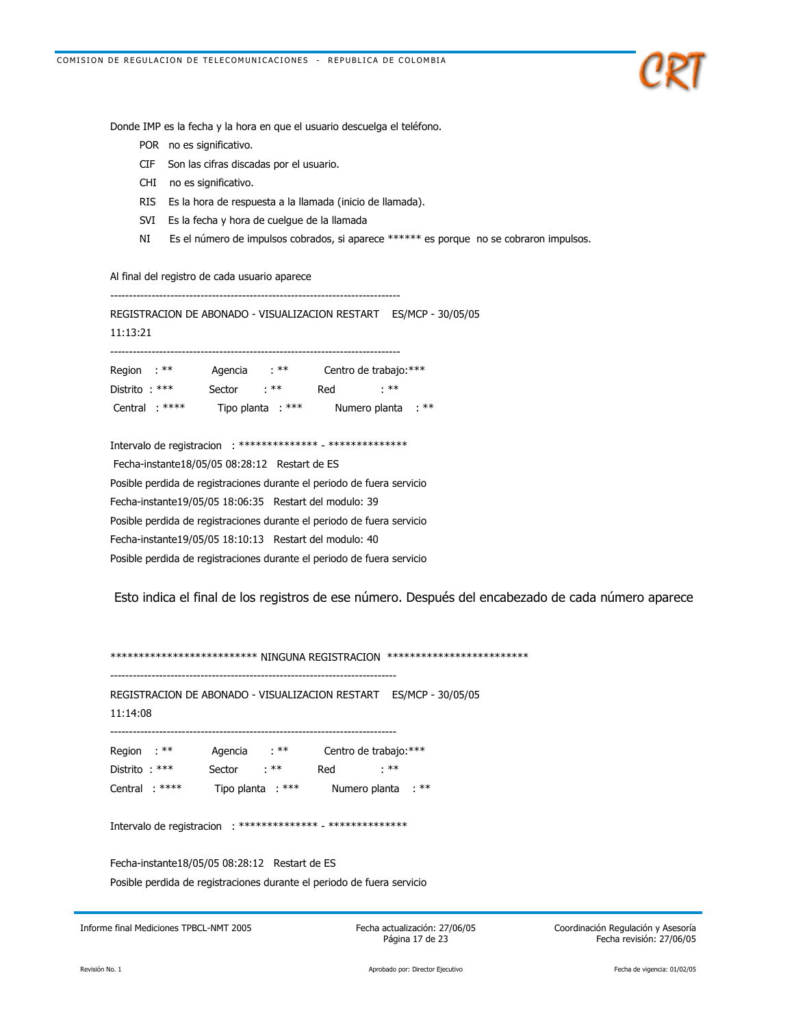

Donde IMP es la fecha y la hora en que el usuario descuelga el teléfono.

- POR no es significativo.
- CIF Son las cifras discadas por el usuario.
- CHI no es significativo.
- RIS Es la hora de respuesta a la llamada (inicio de llamada).
- SVI Es la fecha y hora de cuelgue de la llamada
- $NI$ Es el número de impulsos cobrados, si aparece \*\*\*\*\*\* es porque no se cobraron impulsos.

Al final del registro de cada usuario aparece

REGISTRACION DE ABONADO - VISUALIZACION RESTART ES/MCP - 30/05/05 11:13:21 Agencia : \*\* Centro de trabajo: \*\*\* Region : \*\* Distrito: \*\*\* Sector : \*\* Red : \*\* Central: \*\*\*\* Tipo planta : \*\*\* Numero planta : \*\* Intervalo de registracion : \*\*\*\*\*\*\*\*\*\*\*\*\*\* - \*\*\*\*\*\*\*\*\*\*\*\*\*\*\* Fecha-instante18/05/05 08:28:12 Restart de ES Posible perdida de registraciones durante el periodo de fuera servicio Fecha-instante19/05/05 18:06:35 Restart del modulo: 39 Posible perdida de registraciones durante el periodo de fuera servicio Fecha-instante19/05/05 18:10:13 Restart del modulo: 40 Posible perdida de registraciones durante el periodo de fuera servicio

Esto indica el final de los registros de ese número. Después del encabezado de cada número aparece

\*\*\*\*\*\*\*\*\*\*\*\*\*\*\*\*\*\*\*\*\*\*\*\*\*\*\* NINGUNA REGISTRACION \*\*\*\*\*\*\*\*\*\*\*\*\*\*\*\*\*\*\*\*\*\*\*\*\* REGISTRACION DE ABONADO - VISUALIZACION RESTART ES/MCP - 30/05/05 11:14:08 Agencia : \*\* Region : \*\* Centro de trabajo: \*\*\* Red Sector : \*\*  $: **$ Distrito: \*\*\* Tipo planta : \*\*\* Numero planta : \*\* Central : \*\*\*\* Intervalo de registracion : \*\*\*\*\*\*\*\*\*\*\*\*\*\* - \*\*\*\*\*\*\*\*\*\*\*\*\*\*\*\*

Fecha-instante18/05/05 08:28:12 Restart de ES Posible perdida de registraciones durante el periodo de fuera servicio

Informe final Mediciones TPBCL-NMT 2005

Fecha actualización: 27/06/05 Página 17 de 23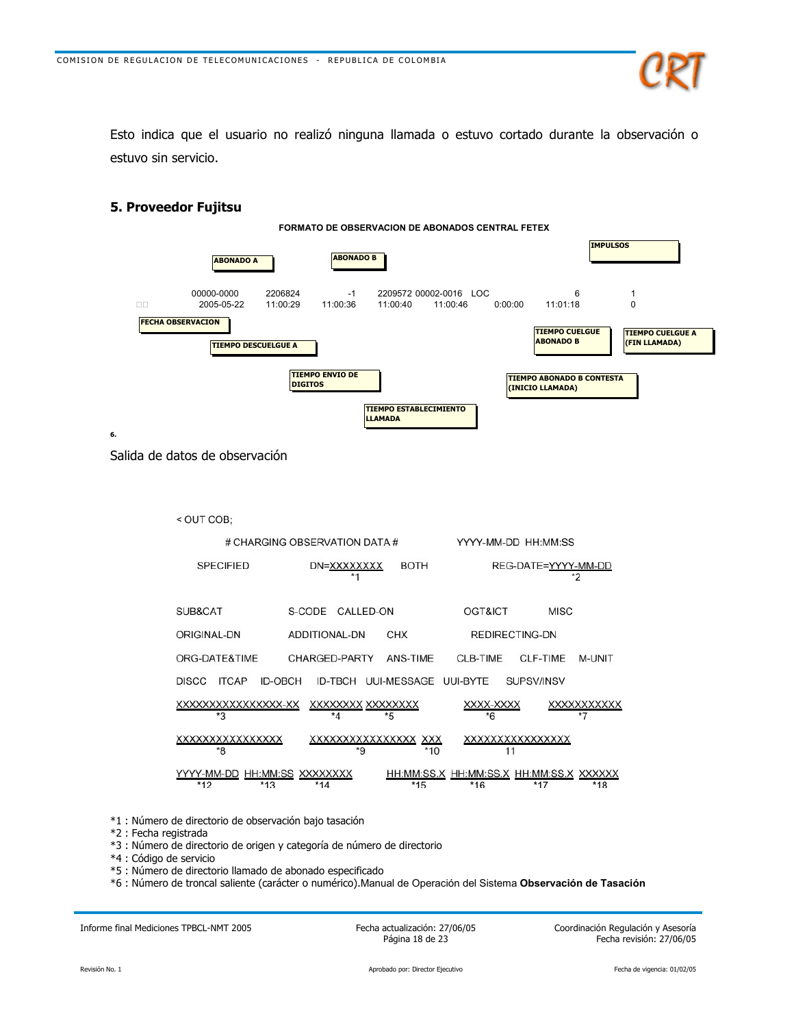

Esto indica que el usuario no realizó ninguna llamada o estuvo cortado durante la observación o estuvo sin servicio.



#### 6.

Salida de datos de observación

5. Proveedor Fujitsu



- \*1 : Número de directorio de observación bajo tasación
- \*2 : Fecha registrada
- \*3 : Número de directorio de origen y categoría de número de directorio
- \*4 : Código de servicio
- \*5 : Número de directorio llamado de abonado especificado
- \*6 : Número de troncal saliente (carácter o numérico).Manual de Operación del Sistema Observación de Tasación

Informe final Mediciones TPBCL-NMT 2005

Fecha actualización: 27/06/05 Página 18 de 23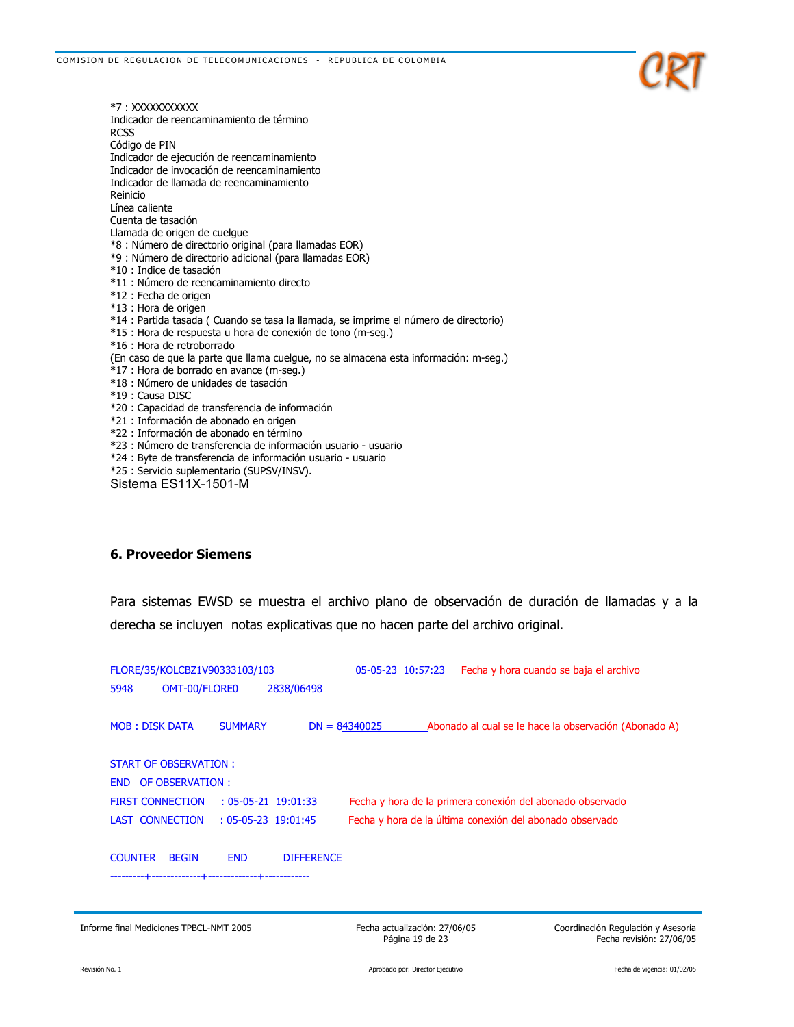

\*7: XXXXXXXXXXX Indicador de reencaminamiento de término **RCSS** Código de PIN Indicador de ejecución de reencaminamiento Indicador de invocación de reencaminamiento Indicador de llamada de reencaminamiento Reinicio Línea caliente Cuenta de tasación Llamada de origen de cuelque \*8 : Número de directorio original (para llamadas EOR) \*9 : Número de directorio adicional (para llamadas EOR) \*10 : Indice de tasación \*11 : Número de reencaminamiento directo \*12 : Fecha de origen \*13 : Hora de origen \*14 : Partida tasada (Cuando se tasa la llamada, se imprime el número de directorio) \*15 : Hora de respuesta u hora de conexión de tono (m-seg.) \*16 : Hora de retroborrado (En caso de que la parte que llama cuelgue, no se almacena esta información: m-seg.) \*17 : Hora de borrado en avance (m-seg.) \*18 : Número de unidades de tasación \*19 : Causa DISC \*20 : Capacidad de transferencia de información \*21 : Información de abonado en origen \*22 : Información de abonado en término \*23 : Número de transferencia de información usuario - usuario \*24 : Byte de transferencia de información usuario - usuario \*25 : Servicio suplementario (SUPSV/INSV). Sistema ES11X-1501-M

#### **6. Proveedor Siemens**

Para sistemas EWSD se muestra el archivo plano de observación de duración de llamadas y a la derecha se incluyen notas explicativas que no hacen parte del archivo original.

| FLORE/35/KOLCBZ1V90333103/103 |                        |                           |                   |                 | 05-05-23 10:57:23 | Fecha y hora cuando se baja el archivo                    |
|-------------------------------|------------------------|---------------------------|-------------------|-----------------|-------------------|-----------------------------------------------------------|
| 5948                          | OMT-00/FLORE0          |                           | 2838/06498        |                 |                   |                                                           |
|                               |                        |                           |                   |                 |                   |                                                           |
| <b>MOB: DISK DATA</b>         |                        | <b>SUMMARY</b>            |                   | $DN = 84340025$ |                   | Abonado al cual se le hace la observación (Abonado A)     |
|                               | START OF OBSERVATION : |                           |                   |                 |                   |                                                           |
|                               | END OF OBSERVATION :   |                           |                   |                 |                   |                                                           |
| <b>FIRST CONNECTION</b>       |                        | $: 05 - 05 - 21$ 19:01:33 |                   |                 |                   | Fecha y hora de la primera conexión del abonado observado |
|                               | LAST CONNECTION        | $: 05 - 05 - 23$ 19:01:45 |                   |                 |                   | Fecha y hora de la última conexión del abonado observado  |
|                               |                        |                           |                   |                 |                   |                                                           |
| <b>COUNTER</b>                | <b>BEGIN</b>           | <b>END</b>                | <b>DIFFERENCE</b> |                 |                   |                                                           |
|                               |                        |                           |                   |                 |                   |                                                           |
|                               |                        |                           |                   |                 |                   |                                                           |

Informe final Mediciones TPBCL-NMT 2005

Fecha actualización: 27/06/05 Página 19 de 23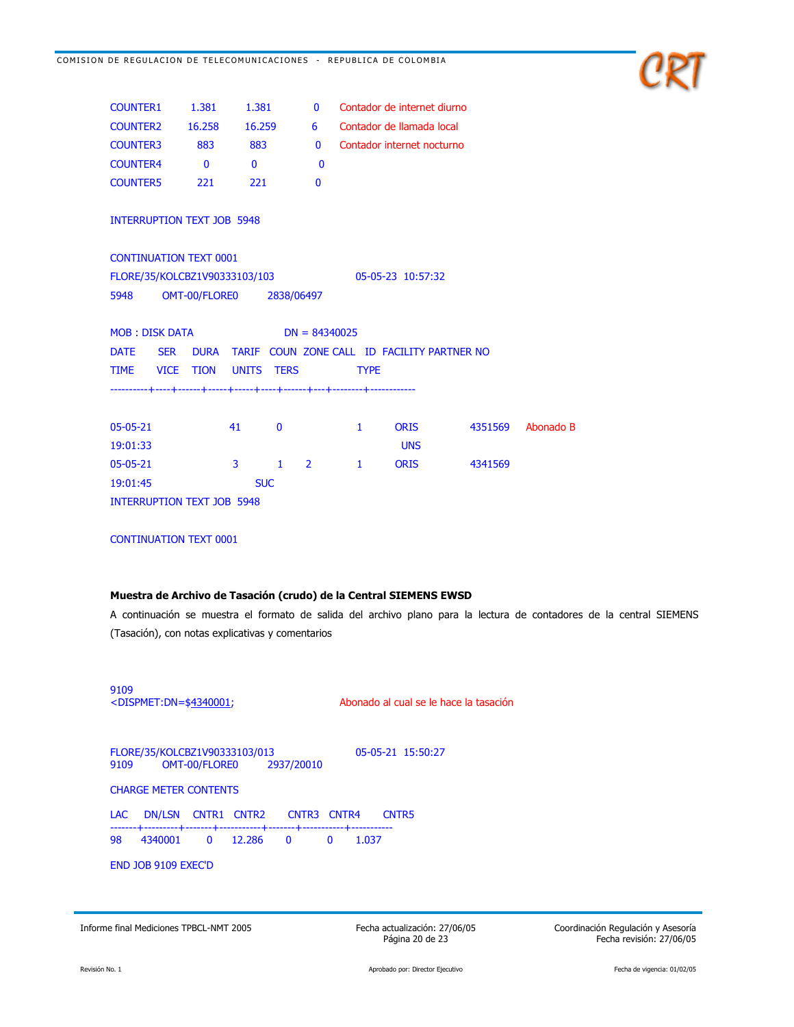

| <b>COUNTER1</b>                   | 1.381                    | 1.381        | U                   |              | Contador de internet diurno                 |         |           |
|-----------------------------------|--------------------------|--------------|---------------------|--------------|---------------------------------------------|---------|-----------|
| <b>COUNTER2</b>                   | 16.258                   | 16.259       | 6                   |              | Contador de llamada local                   |         |           |
| <b>COUNTER3</b>                   | 883                      | 883          | $\mathbf{0}$        |              | Contador internet nocturno                  |         |           |
| <b>COUNTER4</b>                   | $\bf{0}$                 | $\mathbf{0}$ | $\bf{0}$            |              |                                             |         |           |
| <b>COUNTER5</b>                   | 221                      | 221          | $\bf{0}$            |              |                                             |         |           |
| <b>INTERRUPTION TEXT JOB 5948</b> |                          |              |                     |              |                                             |         |           |
| <b>CONTINUATION TEXT 0001</b>     |                          |              |                     |              |                                             |         |           |
| FLORE/35/KOLCBZ1V90333103/103     |                          |              |                     |              | 05-05-23 10:57:32                           |         |           |
| 5948                              | OMT-00/FLORE0 2838/06497 |              |                     |              |                                             |         |           |
|                                   |                          |              |                     |              |                                             |         |           |
| <b>MOB: DISK DATA</b>             |                          |              | $DN = 84340025$     |              |                                             |         |           |
| <b>SER</b><br><b>DATE</b>         | <b>DURA</b>              |              |                     |              | TARIF COUN ZONE CALL ID FACILITY PARTNER NO |         |           |
| <b>VICE</b><br><b>TIME</b>        | <b>TION</b>              | <b>UNITS</b> | <b>TERS</b>         | <b>TYPE</b>  |                                             |         |           |
|                                   |                          |              |                     |              |                                             |         |           |
|                                   |                          |              |                     |              |                                             |         |           |
| 05-05-21                          |                          | 41           | $\mathbf{0}$        | $\mathbf{1}$ | <b>ORIS</b>                                 | 4351569 | Abonado B |
| 19:01:33                          |                          |              |                     |              | <b>UNS</b>                                  |         |           |
| $05-05-21$                        |                          | 3            | $\overline{2}$<br>1 | 1            | <b>ORIS</b>                                 | 4341569 |           |

**CONTINUATION TEXT 0001** 

**INTERRUPTION TEXT JOB 5948** 

19:01:45

#### Muestra de Archivo de Tasación (crudo) de la Central SIEMENS EWSD

**SUC** 

A continuación se muestra el formato de salida del archivo plano para la lectura de contadores de la central SIEMENS (Tasación), con notas explicativas y comentarios

| 9109<br><dispmet:dn=\$4340001;< th=""><th>Abonado al cual se le hace la tasación</th></dispmet:dn=\$4340001;<> | Abonado al cual se le hace la tasación |  |  |  |  |
|----------------------------------------------------------------------------------------------------------------|----------------------------------------|--|--|--|--|
| FLORE/35/KOLCBZ1V90333103/013<br>OMT-00/FLORE0<br>2937/20010<br>9109                                           | 05-05-21 15:50:27                      |  |  |  |  |
| <b>CHARGE METER CONTENTS</b>                                                                                   |                                        |  |  |  |  |
| <b>DN/LSN</b><br>CNTR3 CNTR4<br>CNTR1<br>CNTR2<br>LAC.                                                         | CNTR5                                  |  |  |  |  |
| 4340001<br>98<br>12.286<br>$\mathbf{0}$<br>$\overline{\phantom{0}}$<br>$\Omega$                                | 1.037                                  |  |  |  |  |
| <b>END JOB 9109 EXEC'D</b>                                                                                     |                                        |  |  |  |  |
|                                                                                                                |                                        |  |  |  |  |

Informe final Mediciones TPBCL-NMT 2005

Fecha actualización: 27/06/05 Página 20 de 23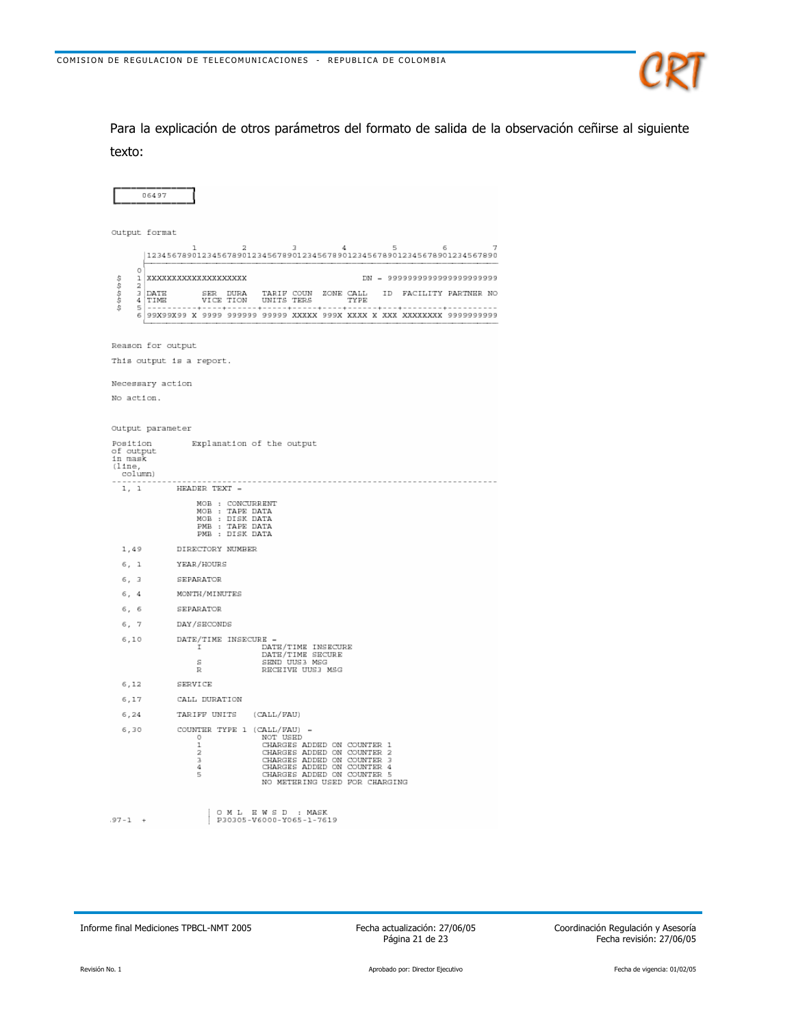

Para la explicación de otros parámetros del formato de salida de la observación ceñirse al siguiente texto:

|                                                       | 06497                                                                                                                                                                                                                                                                 |  |  |  |  |  |  |  |
|-------------------------------------------------------|-----------------------------------------------------------------------------------------------------------------------------------------------------------------------------------------------------------------------------------------------------------------------|--|--|--|--|--|--|--|
|                                                       | Output format                                                                                                                                                                                                                                                         |  |  |  |  |  |  |  |
|                                                       | 2<br>$\overline{A}$<br>$\mathcal{L}$<br>п.<br>$\Delta$<br>局<br>к<br>1234567890123456789012345678901234567890123456789012345678901234567890                                                                                                                            |  |  |  |  |  |  |  |
| $\circ$<br>to to to to to<br>ı<br>2<br>з<br>4         | DN = 9999999999999999999999<br>XXXXXXXXXXXXXXXXXXX                                                                                                                                                                                                                    |  |  |  |  |  |  |  |
|                                                       | SER DURA TARIF COUN ZONE CALL<br>VICE TION UNITS TERS TYPE<br>DATE<br>ID FACILITY PARTNER NO<br>TIME                                                                                                                                                                  |  |  |  |  |  |  |  |
| 5                                                     | ------------------------------------                                                                                                                                                                                                                                  |  |  |  |  |  |  |  |
|                                                       |                                                                                                                                                                                                                                                                       |  |  |  |  |  |  |  |
|                                                       | Reason for output                                                                                                                                                                                                                                                     |  |  |  |  |  |  |  |
|                                                       | This output is a report.                                                                                                                                                                                                                                              |  |  |  |  |  |  |  |
|                                                       | Necessary action                                                                                                                                                                                                                                                      |  |  |  |  |  |  |  |
| No action.                                            |                                                                                                                                                                                                                                                                       |  |  |  |  |  |  |  |
|                                                       |                                                                                                                                                                                                                                                                       |  |  |  |  |  |  |  |
|                                                       | Output parameter                                                                                                                                                                                                                                                      |  |  |  |  |  |  |  |
| Position<br>of output<br>in mask<br>(11ne,<br>column) | Explanation of the output                                                                                                                                                                                                                                             |  |  |  |  |  |  |  |
| 1, 1                                                  | ------------<br>HEADER TEXT -                                                                                                                                                                                                                                         |  |  |  |  |  |  |  |
|                                                       | MOB : CONCURRENT<br>MOB : TAPE DATA<br>MOB : DISK DATA<br>PMB : TAPE DATA<br>PMB : DISK DATA                                                                                                                                                                          |  |  |  |  |  |  |  |
| 1,49                                                  | DIRECTORY NUMBER                                                                                                                                                                                                                                                      |  |  |  |  |  |  |  |
| 6, 1                                                  | YEAR/HOURS                                                                                                                                                                                                                                                            |  |  |  |  |  |  |  |
| 6, 3                                                  | SEPARATOR                                                                                                                                                                                                                                                             |  |  |  |  |  |  |  |
| 6, 4                                                  | MONTH/MINUTES                                                                                                                                                                                                                                                         |  |  |  |  |  |  |  |
| 6, 6                                                  | SEPARATOR                                                                                                                                                                                                                                                             |  |  |  |  |  |  |  |
| 6, 7                                                  | DAY/SECONDS                                                                                                                                                                                                                                                           |  |  |  |  |  |  |  |
| 6,10                                                  | DATE/TIME INSECURE -<br>DATE/TIME INSECURE<br>DATE/TIME SECURE<br>I.<br>SEND UUS3 MSG<br>S<br>RECEIVE UUS3 MSG<br>R                                                                                                                                                   |  |  |  |  |  |  |  |
| 6,12                                                  | SERVICE                                                                                                                                                                                                                                                               |  |  |  |  |  |  |  |
| 6,17                                                  | CALL DURATION                                                                                                                                                                                                                                                         |  |  |  |  |  |  |  |
| 6,24                                                  | TARIFF UNITS<br>(CALL/FAU)                                                                                                                                                                                                                                            |  |  |  |  |  |  |  |
| 6,30                                                  | COUNTER TYPE 1 (CALL/FAU)<br>NOT USED<br>O<br>CHARGES ADDED ON COUNTER 1<br>$\mathbf{I}$<br>2<br>CHARGES ADDED ON COUNTER 2<br>3<br>CHARGES ADDED ON COUNTER 3<br>CHARGES ADDED ON COUNTER 4<br>4<br>5<br>CHARGES ADDED ON COUNTER 5<br>NO METERING USED FOR CHARGING |  |  |  |  |  |  |  |
| $.97 - 1 +$                                           | OML EWSD : MASK<br>P30305-V6000-Y065-1-7619                                                                                                                                                                                                                           |  |  |  |  |  |  |  |

Informe final Mediciones TPBCL-NMT 2005

Fecha actualización: 27/06/05 Página 21 de 23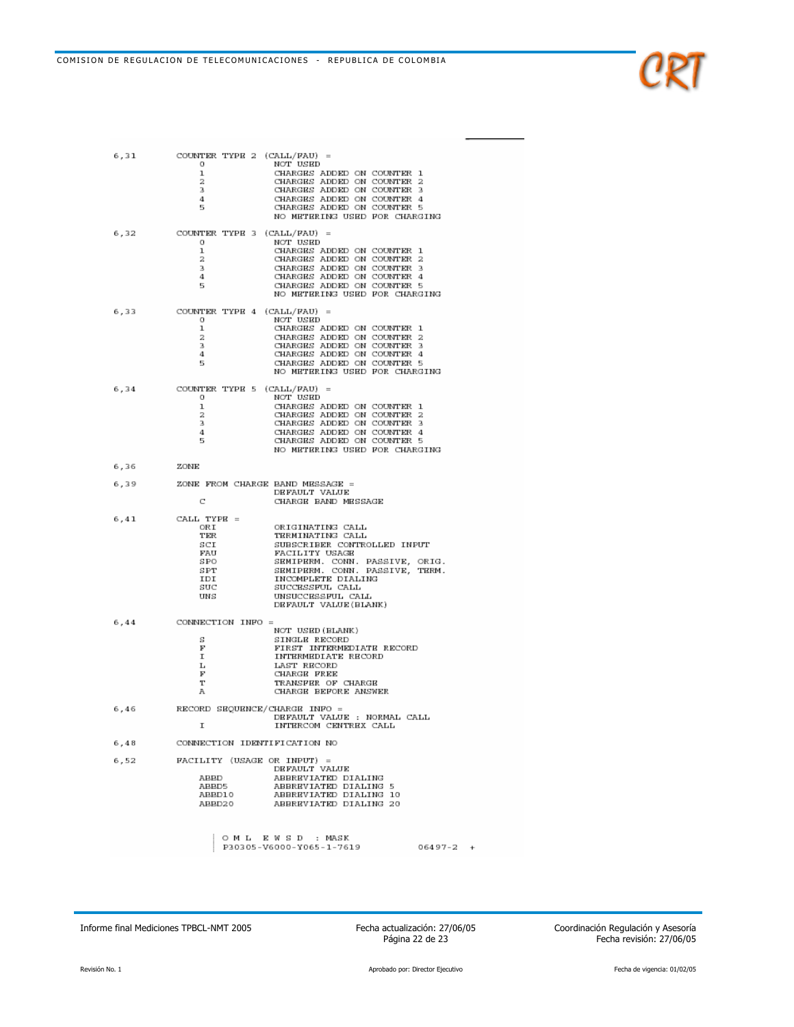$\scriptstyle 6$  ,  $\scriptstyle 31$ 

| 6,31 | COUNTER TYPE 2 (CALL/FAU) =<br>NOT USED<br>o<br>CHARGES ADDED ON COUNTER 1<br>ı<br>CHARGES ADDED ON COUNTER 2<br>2<br>з<br>CHARGES ADDED ON COUNTER 3<br>CHARGES ADDED ON COUNTER 4<br>4<br>CHARGES ADDED ON COUNTER 5<br>5<br>NO METERING USED FOR CHARGING                                                                             |  |
|------|------------------------------------------------------------------------------------------------------------------------------------------------------------------------------------------------------------------------------------------------------------------------------------------------------------------------------------------|--|
| 6,32 | COUNTER TYPE 3 (CALL/FAU) =<br>NOT USED<br>o<br>ı<br>CHARGES ADDED ON COUNTER 1<br>2<br>CHARGES ADDED ON COUNTER 2<br>з<br>CHARGES ADDED ON COUNTER 3<br>4<br>CHARGES ADDED ON COUNTER 4<br>CHARGES ADDED ON COUNTER 5<br>5<br>NO METERING USED FOR CHARGING                                                                             |  |
| 6,33 | COUNTER TYPE 4 (CALL/FAU) =<br>NOT USED<br>o<br>ı<br>CHARGES ADDED ON COUNTER 1<br>CHARGES ADDED ON COUNTER 2<br>2<br>з<br>CHARGES ADDED ON COUNTER 3<br>CHARGES ADDED ON COUNTER 4<br>4<br>CHARGES ADDED ON COUNTER 5<br>5<br>NO METERING USED FOR CHARGING                                                                             |  |
| 6,34 | COUNTER TYPE 5 (CALL/FAU) =<br>NOT USED<br>o<br>1<br>CHARGES ADDED ON COUNTER 1<br>2<br>CHARGES ADDED ON COUNTER 2<br>з<br>CHARGES ADDED ON COUNTER 3<br>4<br>CHARGES ADDED ON COUNTER 4<br>CHARGES ADDED ON COUNTER 5<br>5<br>NO METERING USED FOR CHARGING                                                                             |  |
| 6,36 | ZONE                                                                                                                                                                                                                                                                                                                                     |  |
| 6,39 | ZONE FROM CHARGE BAND MESSAGE =<br>DEFAULT VALUE<br>С<br>CHARGE BAND MESSAGE                                                                                                                                                                                                                                                             |  |
| 6,41 | $CALL$ TYPE =<br>ORI<br>ORIGINATING CALL<br>TER<br>TERMINATING CALL<br>SCI<br>SUBSCRIBER CONTROLLED INPUT<br>$_{\rm FAU}$<br>FACILITY USAGE<br>SEMIPERM. CONN. PASSIVE, ORIG.<br>SPO<br>SEMIPERM. CONN. PASSIVE, TERM.<br>SPT<br>IDI<br>INCOMPLETE DIALING<br>SUC<br>SUCCESSFUL CALL<br>UNSUCCESSFUL CALL<br>UNS<br>DEFAULT VALUE(BLANK) |  |
| 6,44 | CONNECTION INFO =                                                                                                                                                                                                                                                                                                                        |  |
|      | NOT USED (BLANK)<br>SINGLE RECORD<br>s<br>F<br>FIRST INTERMEDIATE RECORD<br>I<br>INTERMEDIATE RECORD<br>Ŀ<br>LAST RECORD<br>F<br>CHARGE FREE<br>т<br>TRANSFER OF CHARGE<br>CHARGE BEFORE ANSWER<br>Α                                                                                                                                     |  |
| 6,46 | RECORD SEQUENCE/CHARGE INFO =<br>DEFAULT VALUE : NORMAL CALL<br>Ι<br>INTERCOM CENTREX CALL                                                                                                                                                                                                                                               |  |
| 6,48 | CONNECTION IDENTIFICATION NO                                                                                                                                                                                                                                                                                                             |  |
| 6,52 | FACILITY (USAGE OR INPUT) =<br>DEFAULT VALUE<br>ABBREVIATED DIALING<br>ABBD<br>ABBD5<br>ABBREVIATED DIALING 5<br>ABBD10<br>ABBREVIATED DIALING 10<br>ABBD20<br>ABBREVIATED DIALING 20                                                                                                                                                    |  |
|      | OML EWSD : MASK<br>P30305-V6000-Y065-1-7619<br>06497-2                                                                                                                                                                                                                                                                                   |  |

Fecha actualización: 27/06/05<br>Página 22 de 23